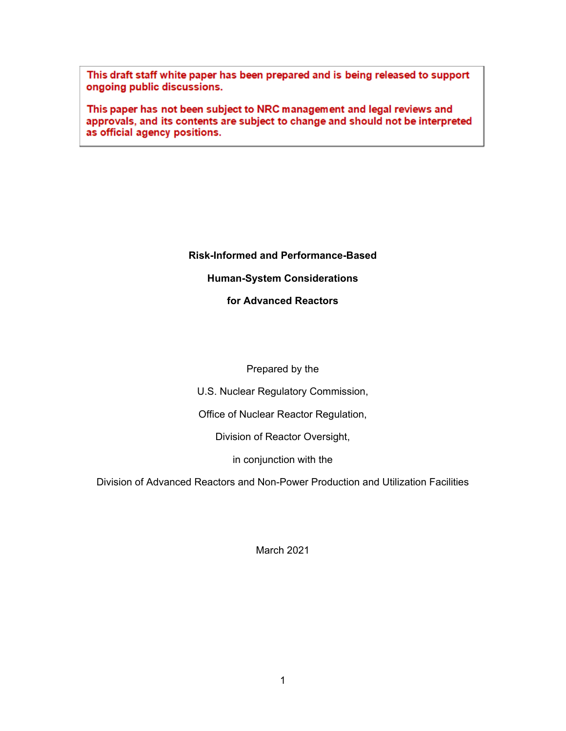This draft staff white paper has been prepared and is being released to support ongoing public discussions.

This paper has not been subject to NRC management and legal reviews and approvals, and its contents are subject to change and should not be interpreted as official agency positions.

# **Risk-Informed and Performance-Based**

#### **Human-System Considerations**

#### **for Advanced Reactors**

#### Prepared by the

U.S. Nuclear Regulatory Commission,

Office of Nuclear Reactor Regulation,

Division of Reactor Oversight,

in conjunction with the

Division of Advanced Reactors and Non-Power Production and Utilization Facilities

March 2021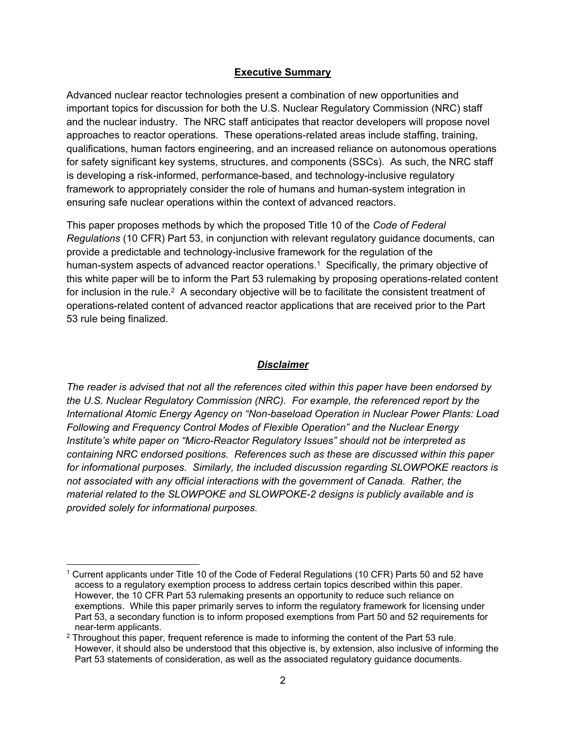#### **Executive Summary**

Advanced nuclear reactor technologies present a combination of new opportunities and important topics for discussion for both the U.S. Nuclear Regulatory Commission (NRC) staff and the nuclear industry. The NRC staff anticipates that reactor developers will propose novel approaches to reactor operations. These operations-related areas include staffing, training, qualifications, human factors engineering, and an increased reliance on autonomous operations for safety significant key systems, structures, and components (SSCs). As such, the NRC staff is developing a risk-informed, performance-based, and technology-inclusive regulatory framework to appropriately consider the role of humans and human-system integration in ensuring safe nuclear operations within the context of advanced reactors.

This paper proposes methods by which the proposed Title 10 of the *Code of Federal Regulations* (10 CFR) Part 53, in conjunction with relevant regulatory guidance documents, can provide a predictable and technology-inclusive framework for the regulation of the human-system aspects of advanced reactor operations.<sup>1</sup> Specifically, the primary objective of this white paper will be to inform the Part 53 rulemaking by proposing operations-related content for inclusion in the rule.<sup>2</sup> A secondary objective will be to facilitate the consistent treatment of operations-related content of advanced reactor applications that are received prior to the Part 53 rule being finalized.

#### *Disclaimer*

*The reader is advised that not all the references cited within this paper have been endorsed by the U.S. Nuclear Regulatory Commission (NRC). For example, the referenced report by the International Atomic Energy Agency on "Non-baseload Operation in Nuclear Power Plants: Load Following and Frequency Control Modes of Flexible Operation" and the Nuclear Energy Institute's white paper on "Micro-Reactor Regulatory Issues" should not be interpreted as containing NRC endorsed positions. References such as these are discussed within this paper for informational purposes. Similarly, the included discussion regarding SLOWPOKE reactors is not associated with any official interactions with the government of Canada. Rather, the material related to the SLOWPOKE and SLOWPOKE-2 designs is publicly available and is provided solely for informational purposes.*

 $\overline{a}$ 

<sup>&</sup>lt;sup>1</sup> Current applicants under Title 10 of the Code of Federal Regulations (10 CFR) Parts 50 and 52 have access to a regulatory exemption process to address certain topics described within this paper. However, the 10 CFR Part 53 rulemaking presents an opportunity to reduce such reliance on exemptions. While this paper primarily serves to inform the regulatory framework for licensing under Part 53, a secondary function is to inform proposed exemptions from Part 50 and 52 requirements for near-term applicants.

 $2$  Throughout this paper, frequent reference is made to informing the content of the Part 53 rule. However, it should also be understood that this objective is, by extension, also inclusive of informing the Part 53 statements of consideration, as well as the associated regulatory guidance documents.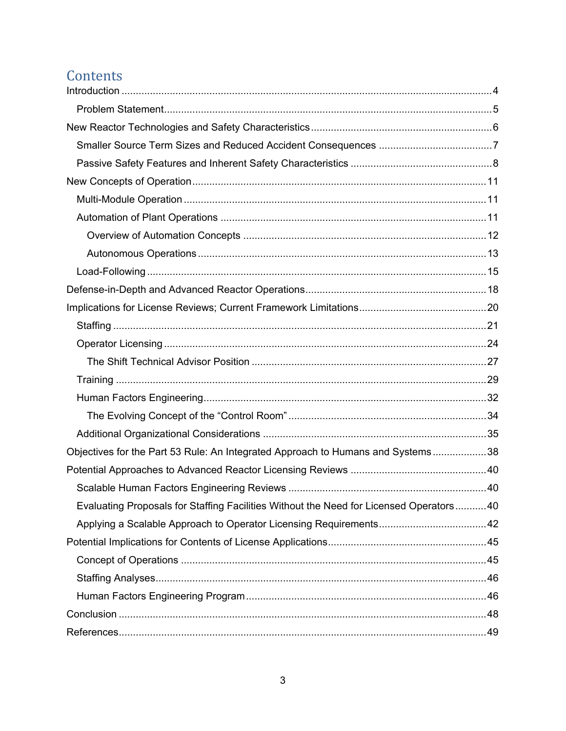# Contents

| Objectives for the Part 53 Rule: An Integrated Approach to Humans and Systems38         |  |
|-----------------------------------------------------------------------------------------|--|
|                                                                                         |  |
|                                                                                         |  |
| Evaluating Proposals for Staffing Facilities Without the Need for Licensed Operators 40 |  |
|                                                                                         |  |
|                                                                                         |  |
|                                                                                         |  |
|                                                                                         |  |
|                                                                                         |  |
|                                                                                         |  |
|                                                                                         |  |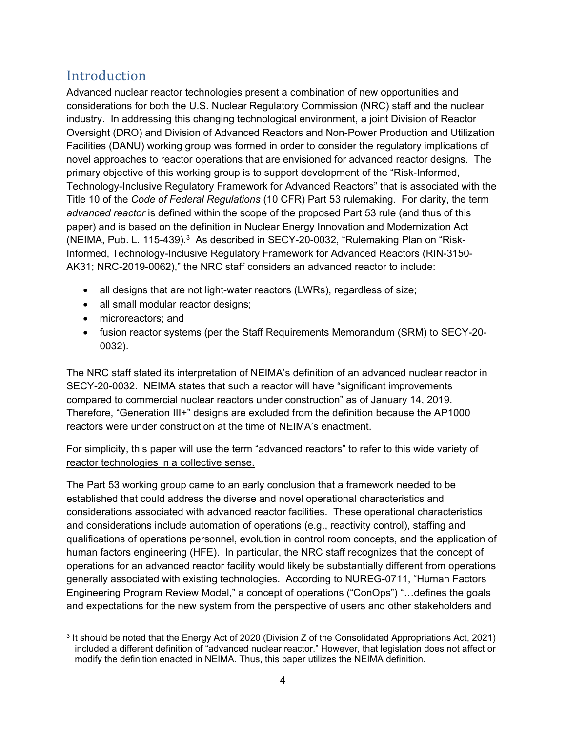## Introduction

Advanced nuclear reactor technologies present a combination of new opportunities and considerations for both the U.S. Nuclear Regulatory Commission (NRC) staff and the nuclear industry. In addressing this changing technological environment, a joint Division of Reactor Oversight (DRO) and Division of Advanced Reactors and Non-Power Production and Utilization Facilities (DANU) working group was formed in order to consider the regulatory implications of novel approaches to reactor operations that are envisioned for advanced reactor designs. The primary objective of this working group is to support development of the "Risk-Informed, Technology-Inclusive Regulatory Framework for Advanced Reactors" that is associated with the Title 10 of the *Code of Federal Regulations* (10 CFR) Part 53 rulemaking. For clarity, the term *advanced reactor* is defined within the scope of the proposed Part 53 rule (and thus of this paper) and is based on the definition in Nuclear Energy Innovation and Modernization Act (NEIMA, Pub. L. 115-439).<sup>3</sup> As described in SECY-20-0032, "Rulemaking Plan on "Risk-Informed, Technology-Inclusive Regulatory Framework for Advanced Reactors (RIN-3150- AK31; NRC-2019-0062)," the NRC staff considers an advanced reactor to include:

- all designs that are not light-water reactors (LWRs), regardless of size;
- all small modular reactor designs;
- microreactors; and
- fusion reactor systems (per the Staff Requirements Memorandum (SRM) to SECY-20- 0032).

The NRC staff stated its interpretation of NEIMA's definition of an advanced nuclear reactor in SECY-20-0032. NEIMA states that such a reactor will have "significant improvements compared to commercial nuclear reactors under construction" as of January 14, 2019. Therefore, "Generation III+" designs are excluded from the definition because the AP1000 reactors were under construction at the time of NEIMA's enactment.

#### For simplicity, this paper will use the term "advanced reactors" to refer to this wide variety of reactor technologies in a collective sense.

The Part 53 working group came to an early conclusion that a framework needed to be established that could address the diverse and novel operational characteristics and considerations associated with advanced reactor facilities. These operational characteristics and considerations include automation of operations (e.g., reactivity control), staffing and qualifications of operations personnel, evolution in control room concepts, and the application of human factors engineering (HFE). In particular, the NRC staff recognizes that the concept of operations for an advanced reactor facility would likely be substantially different from operations generally associated with existing technologies. According to NUREG-0711, "Human Factors Engineering Program Review Model," a concept of operations ("ConOps") "…defines the goals and expectations for the new system from the perspective of users and other stakeholders and

 3 It should be noted that the Energy Act of 2020 (Division Z of the Consolidated Appropriations Act, 2021) included a different definition of "advanced nuclear reactor." However, that legislation does not affect or modify the definition enacted in NEIMA. Thus, this paper utilizes the NEIMA definition.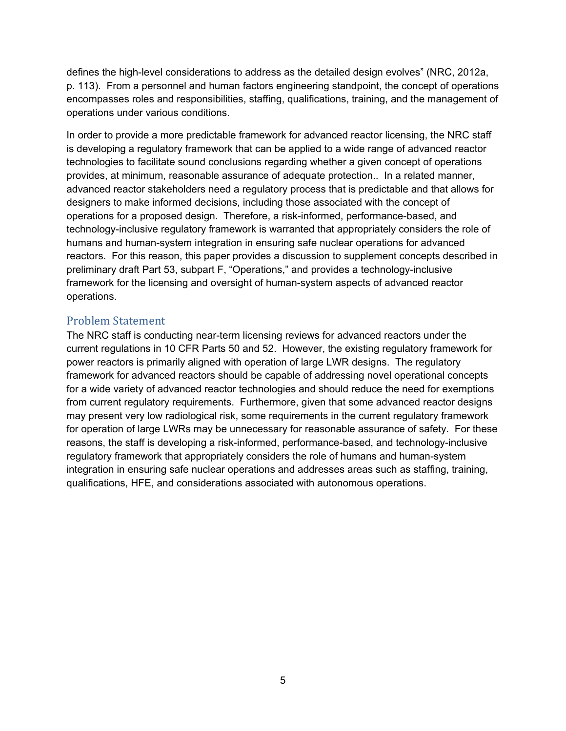defines the high-level considerations to address as the detailed design evolves" (NRC, 2012a, p. 113). From a personnel and human factors engineering standpoint, the concept of operations encompasses roles and responsibilities, staffing, qualifications, training, and the management of operations under various conditions.

In order to provide a more predictable framework for advanced reactor licensing, the NRC staff is developing a regulatory framework that can be applied to a wide range of advanced reactor technologies to facilitate sound conclusions regarding whether a given concept of operations provides, at minimum, reasonable assurance of adequate protection.. In a related manner, advanced reactor stakeholders need a regulatory process that is predictable and that allows for designers to make informed decisions, including those associated with the concept of operations for a proposed design. Therefore, a risk-informed, performance-based, and technology-inclusive regulatory framework is warranted that appropriately considers the role of humans and human-system integration in ensuring safe nuclear operations for advanced reactors. For this reason, this paper provides a discussion to supplement concepts described in preliminary draft Part 53, subpart F, "Operations," and provides a technology-inclusive framework for the licensing and oversight of human-system aspects of advanced reactor operations.

#### Problem Statement

The NRC staff is conducting near-term licensing reviews for advanced reactors under the current regulations in 10 CFR Parts 50 and 52. However, the existing regulatory framework for power reactors is primarily aligned with operation of large LWR designs. The regulatory framework for advanced reactors should be capable of addressing novel operational concepts for a wide variety of advanced reactor technologies and should reduce the need for exemptions from current regulatory requirements. Furthermore, given that some advanced reactor designs may present very low radiological risk, some requirements in the current regulatory framework for operation of large LWRs may be unnecessary for reasonable assurance of safety. For these reasons, the staff is developing a risk-informed, performance-based, and technology-inclusive regulatory framework that appropriately considers the role of humans and human-system integration in ensuring safe nuclear operations and addresses areas such as staffing, training, qualifications, HFE, and considerations associated with autonomous operations.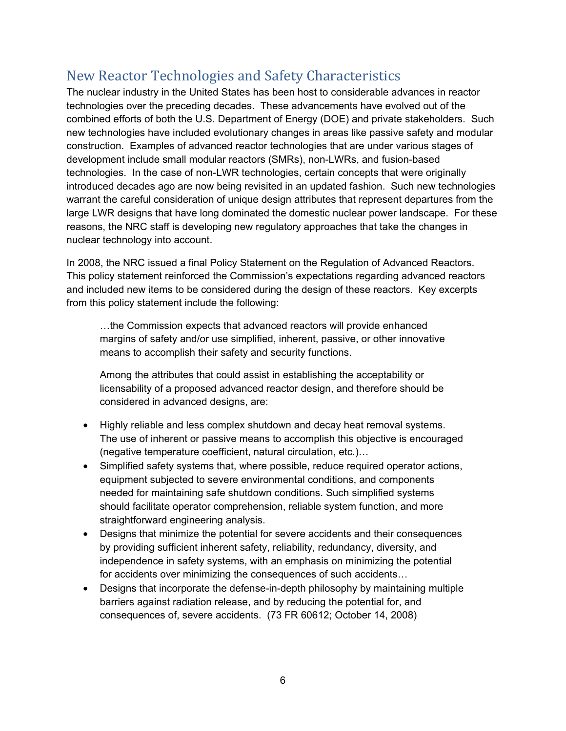## New Reactor Technologies and Safety Characteristics

The nuclear industry in the United States has been host to considerable advances in reactor technologies over the preceding decades. These advancements have evolved out of the combined efforts of both the U.S. Department of Energy (DOE) and private stakeholders. Such new technologies have included evolutionary changes in areas like passive safety and modular construction. Examples of advanced reactor technologies that are under various stages of development include small modular reactors (SMRs), non-LWRs, and fusion-based technologies. In the case of non-LWR technologies, certain concepts that were originally introduced decades ago are now being revisited in an updated fashion. Such new technologies warrant the careful consideration of unique design attributes that represent departures from the large LWR designs that have long dominated the domestic nuclear power landscape. For these reasons, the NRC staff is developing new regulatory approaches that take the changes in nuclear technology into account.

In 2008, the NRC issued a final Policy Statement on the Regulation of Advanced Reactors. This policy statement reinforced the Commission's expectations regarding advanced reactors and included new items to be considered during the design of these reactors. Key excerpts from this policy statement include the following:

…the Commission expects that advanced reactors will provide enhanced margins of safety and/or use simplified, inherent, passive, or other innovative means to accomplish their safety and security functions.

Among the attributes that could assist in establishing the acceptability or licensability of a proposed advanced reactor design, and therefore should be considered in advanced designs, are:

- Highly reliable and less complex shutdown and decay heat removal systems. The use of inherent or passive means to accomplish this objective is encouraged (negative temperature coefficient, natural circulation, etc.)…
- Simplified safety systems that, where possible, reduce required operator actions, equipment subjected to severe environmental conditions, and components needed for maintaining safe shutdown conditions. Such simplified systems should facilitate operator comprehension, reliable system function, and more straightforward engineering analysis.
- Designs that minimize the potential for severe accidents and their consequences by providing sufficient inherent safety, reliability, redundancy, diversity, and independence in safety systems, with an emphasis on minimizing the potential for accidents over minimizing the consequences of such accidents…
- Designs that incorporate the defense-in-depth philosophy by maintaining multiple barriers against radiation release, and by reducing the potential for, and consequences of, severe accidents. (73 FR 60612; October 14, 2008)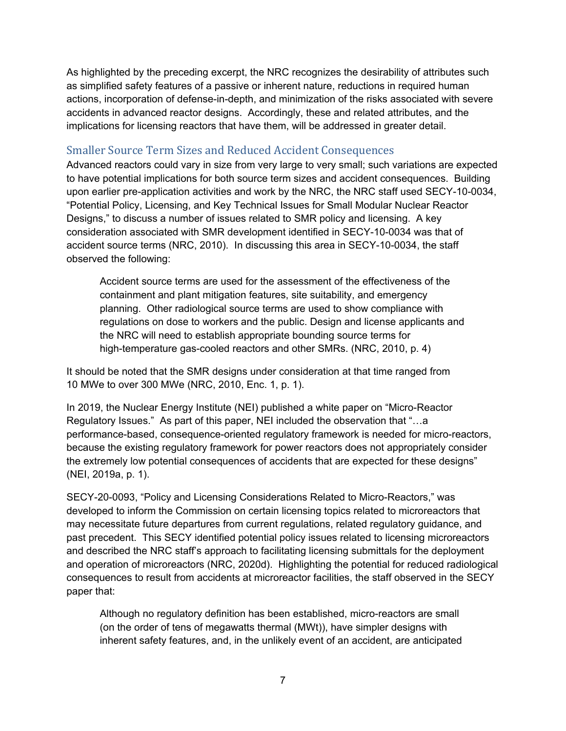As highlighted by the preceding excerpt, the NRC recognizes the desirability of attributes such as simplified safety features of a passive or inherent nature, reductions in required human actions, incorporation of defense-in-depth, and minimization of the risks associated with severe accidents in advanced reactor designs. Accordingly, these and related attributes, and the implications for licensing reactors that have them, will be addressed in greater detail.

#### Smaller Source Term Sizes and Reduced Accident Consequences

Advanced reactors could vary in size from very large to very small; such variations are expected to have potential implications for both source term sizes and accident consequences. Building upon earlier pre-application activities and work by the NRC, the NRC staff used SECY-10-0034, "Potential Policy, Licensing, and Key Technical Issues for Small Modular Nuclear Reactor Designs," to discuss a number of issues related to SMR policy and licensing. A key consideration associated with SMR development identified in SECY-10-0034 was that of accident source terms (NRC, 2010). In discussing this area in SECY-10-0034, the staff observed the following:

Accident source terms are used for the assessment of the effectiveness of the containment and plant mitigation features, site suitability, and emergency planning. Other radiological source terms are used to show compliance with regulations on dose to workers and the public. Design and license applicants and the NRC will need to establish appropriate bounding source terms for high-temperature gas-cooled reactors and other SMRs. (NRC, 2010, p. 4)

It should be noted that the SMR designs under consideration at that time ranged from 10 MWe to over 300 MWe (NRC, 2010, Enc. 1, p. 1).

In 2019, the Nuclear Energy Institute (NEI) published a white paper on "Micro-Reactor Regulatory Issues." As part of this paper, NEI included the observation that "…a performance-based, consequence-oriented regulatory framework is needed for micro-reactors, because the existing regulatory framework for power reactors does not appropriately consider the extremely low potential consequences of accidents that are expected for these designs" (NEI, 2019a, p. 1).

SECY-20-0093, "Policy and Licensing Considerations Related to Micro-Reactors," was developed to inform the Commission on certain licensing topics related to microreactors that may necessitate future departures from current regulations, related regulatory guidance, and past precedent. This SECY identified potential policy issues related to licensing microreactors and described the NRC staff's approach to facilitating licensing submittals for the deployment and operation of microreactors (NRC, 2020d). Highlighting the potential for reduced radiological consequences to result from accidents at microreactor facilities, the staff observed in the SECY paper that:

Although no regulatory definition has been established, micro-reactors are small (on the order of tens of megawatts thermal (MWt)), have simpler designs with inherent safety features, and, in the unlikely event of an accident, are anticipated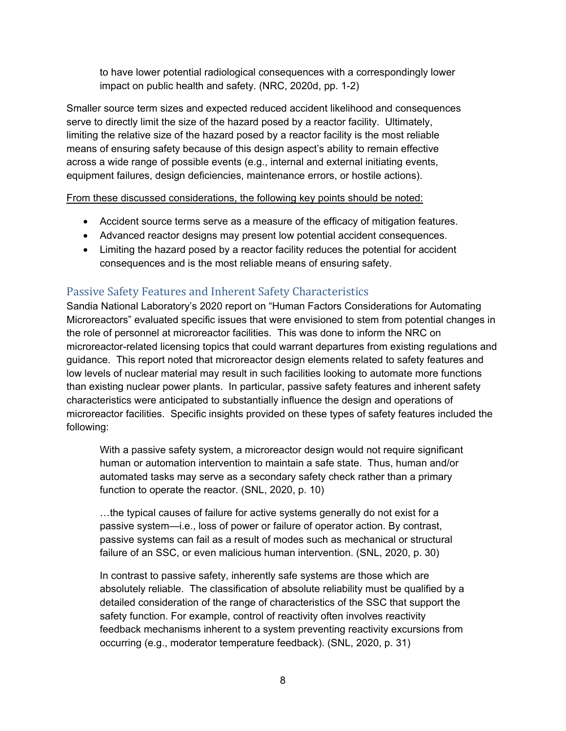to have lower potential radiological consequences with a correspondingly lower impact on public health and safety. (NRC, 2020d, pp. 1-2)

Smaller source term sizes and expected reduced accident likelihood and consequences serve to directly limit the size of the hazard posed by a reactor facility. Ultimately, limiting the relative size of the hazard posed by a reactor facility is the most reliable means of ensuring safety because of this design aspect's ability to remain effective across a wide range of possible events (e.g., internal and external initiating events, equipment failures, design deficiencies, maintenance errors, or hostile actions).

From these discussed considerations, the following key points should be noted:

- Accident source terms serve as a measure of the efficacy of mitigation features.
- Advanced reactor designs may present low potential accident consequences.
- Limiting the hazard posed by a reactor facility reduces the potential for accident consequences and is the most reliable means of ensuring safety.

### Passive Safety Features and Inherent Safety Characteristics

Sandia National Laboratory's 2020 report on "Human Factors Considerations for Automating Microreactors" evaluated specific issues that were envisioned to stem from potential changes in the role of personnel at microreactor facilities. This was done to inform the NRC on microreactor-related licensing topics that could warrant departures from existing regulations and guidance. This report noted that microreactor design elements related to safety features and low levels of nuclear material may result in such facilities looking to automate more functions than existing nuclear power plants. In particular, passive safety features and inherent safety characteristics were anticipated to substantially influence the design and operations of microreactor facilities. Specific insights provided on these types of safety features included the following:

With a passive safety system, a microreactor design would not require significant human or automation intervention to maintain a safe state. Thus, human and/or automated tasks may serve as a secondary safety check rather than a primary function to operate the reactor. (SNL, 2020, p. 10)

…the typical causes of failure for active systems generally do not exist for a passive system—i.e., loss of power or failure of operator action. By contrast, passive systems can fail as a result of modes such as mechanical or structural failure of an SSC, or even malicious human intervention. (SNL, 2020, p. 30)

In contrast to passive safety, inherently safe systems are those which are absolutely reliable. The classification of absolute reliability must be qualified by a detailed consideration of the range of characteristics of the SSC that support the safety function. For example, control of reactivity often involves reactivity feedback mechanisms inherent to a system preventing reactivity excursions from occurring (e.g., moderator temperature feedback). (SNL, 2020, p. 31)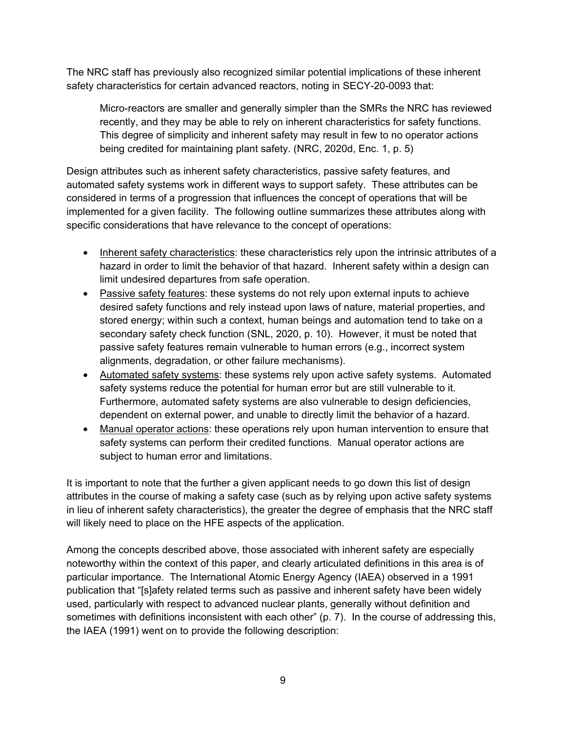The NRC staff has previously also recognized similar potential implications of these inherent safety characteristics for certain advanced reactors, noting in SECY-20-0093 that:

Micro-reactors are smaller and generally simpler than the SMRs the NRC has reviewed recently, and they may be able to rely on inherent characteristics for safety functions. This degree of simplicity and inherent safety may result in few to no operator actions being credited for maintaining plant safety. (NRC, 2020d, Enc. 1, p. 5)

Design attributes such as inherent safety characteristics, passive safety features, and automated safety systems work in different ways to support safety. These attributes can be considered in terms of a progression that influences the concept of operations that will be implemented for a given facility. The following outline summarizes these attributes along with specific considerations that have relevance to the concept of operations:

- Inherent safety characteristics: these characteristics rely upon the intrinsic attributes of a hazard in order to limit the behavior of that hazard. Inherent safety within a design can limit undesired departures from safe operation.
- Passive safety features: these systems do not rely upon external inputs to achieve desired safety functions and rely instead upon laws of nature, material properties, and stored energy; within such a context, human beings and automation tend to take on a secondary safety check function (SNL, 2020, p. 10). However, it must be noted that passive safety features remain vulnerable to human errors (e.g., incorrect system alignments, degradation, or other failure mechanisms).
- Automated safety systems: these systems rely upon active safety systems. Automated safety systems reduce the potential for human error but are still vulnerable to it. Furthermore, automated safety systems are also vulnerable to design deficiencies, dependent on external power, and unable to directly limit the behavior of a hazard.
- Manual operator actions: these operations rely upon human intervention to ensure that safety systems can perform their credited functions. Manual operator actions are subject to human error and limitations.

It is important to note that the further a given applicant needs to go down this list of design attributes in the course of making a safety case (such as by relying upon active safety systems in lieu of inherent safety characteristics), the greater the degree of emphasis that the NRC staff will likely need to place on the HFE aspects of the application.

Among the concepts described above, those associated with inherent safety are especially noteworthy within the context of this paper, and clearly articulated definitions in this area is of particular importance. The International Atomic Energy Agency (IAEA) observed in a 1991 publication that "[s]afety related terms such as passive and inherent safety have been widely used, particularly with respect to advanced nuclear plants, generally without definition and sometimes with definitions inconsistent with each other" (p. 7). In the course of addressing this, the IAEA (1991) went on to provide the following description: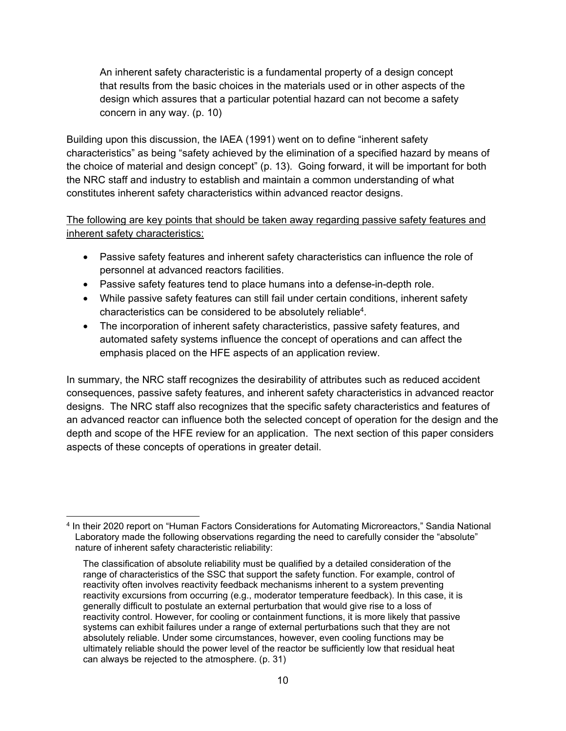An inherent safety characteristic is a fundamental property of a design concept that results from the basic choices in the materials used or in other aspects of the design which assures that a particular potential hazard can not become a safety concern in any way. (p. 10)

Building upon this discussion, the IAEA (1991) went on to define "inherent safety characteristics" as being "safety achieved by the elimination of a specified hazard by means of the choice of material and design concept" (p. 13). Going forward, it will be important for both the NRC staff and industry to establish and maintain a common understanding of what constitutes inherent safety characteristics within advanced reactor designs.

The following are key points that should be taken away regarding passive safety features and inherent safety characteristics:

- Passive safety features and inherent safety characteristics can influence the role of personnel at advanced reactors facilities.
- Passive safety features tend to place humans into a defense-in-depth role.
- While passive safety features can still fail under certain conditions, inherent safety characteristics can be considered to be absolutely reliable4.
- The incorporation of inherent safety characteristics, passive safety features, and automated safety systems influence the concept of operations and can affect the emphasis placed on the HFE aspects of an application review.

In summary, the NRC staff recognizes the desirability of attributes such as reduced accident consequences, passive safety features, and inherent safety characteristics in advanced reactor designs. The NRC staff also recognizes that the specific safety characteristics and features of an advanced reactor can influence both the selected concept of operation for the design and the depth and scope of the HFE review for an application. The next section of this paper considers aspects of these concepts of operations in greater detail.

 4 In their 2020 report on "Human Factors Considerations for Automating Microreactors," Sandia National Laboratory made the following observations regarding the need to carefully consider the "absolute" nature of inherent safety characteristic reliability:

The classification of absolute reliability must be qualified by a detailed consideration of the range of characteristics of the SSC that support the safety function. For example, control of reactivity often involves reactivity feedback mechanisms inherent to a system preventing reactivity excursions from occurring (e.g., moderator temperature feedback). In this case, it is generally difficult to postulate an external perturbation that would give rise to a loss of reactivity control. However, for cooling or containment functions, it is more likely that passive systems can exhibit failures under a range of external perturbations such that they are not absolutely reliable. Under some circumstances, however, even cooling functions may be ultimately reliable should the power level of the reactor be sufficiently low that residual heat can always be rejected to the atmosphere. (p. 31)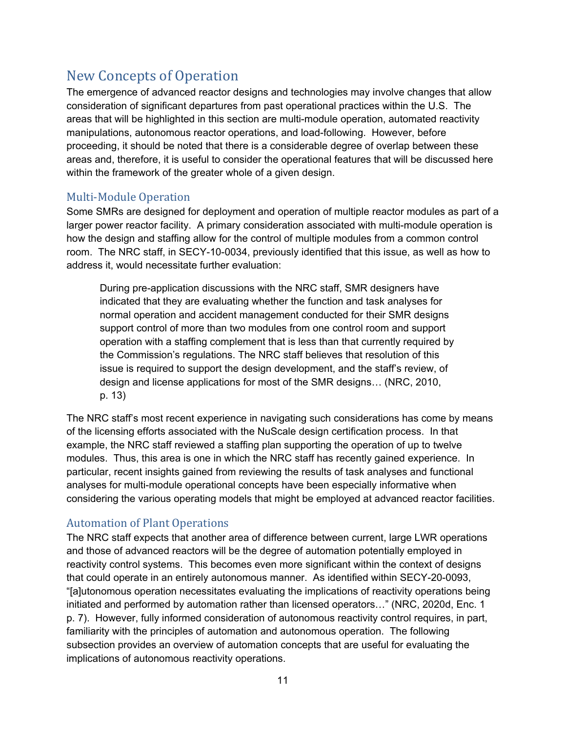## New Concepts of Operation

The emergence of advanced reactor designs and technologies may involve changes that allow consideration of significant departures from past operational practices within the U.S. The areas that will be highlighted in this section are multi-module operation, automated reactivity manipulations, autonomous reactor operations, and load-following. However, before proceeding, it should be noted that there is a considerable degree of overlap between these areas and, therefore, it is useful to consider the operational features that will be discussed here within the framework of the greater whole of a given design.

#### Multi-Module Operation

Some SMRs are designed for deployment and operation of multiple reactor modules as part of a larger power reactor facility. A primary consideration associated with multi-module operation is how the design and staffing allow for the control of multiple modules from a common control room. The NRC staff, in SECY-10-0034, previously identified that this issue, as well as how to address it, would necessitate further evaluation:

During pre-application discussions with the NRC staff, SMR designers have indicated that they are evaluating whether the function and task analyses for normal operation and accident management conducted for their SMR designs support control of more than two modules from one control room and support operation with a staffing complement that is less than that currently required by the Commission's regulations. The NRC staff believes that resolution of this issue is required to support the design development, and the staff's review, of design and license applications for most of the SMR designs… (NRC, 2010, p. 13)

The NRC staff's most recent experience in navigating such considerations has come by means of the licensing efforts associated with the NuScale design certification process. In that example, the NRC staff reviewed a staffing plan supporting the operation of up to twelve modules. Thus, this area is one in which the NRC staff has recently gained experience. In particular, recent insights gained from reviewing the results of task analyses and functional analyses for multi-module operational concepts have been especially informative when considering the various operating models that might be employed at advanced reactor facilities.

#### Automation of Plant Operations

The NRC staff expects that another area of difference between current, large LWR operations and those of advanced reactors will be the degree of automation potentially employed in reactivity control systems. This becomes even more significant within the context of designs that could operate in an entirely autonomous manner. As identified within SECY-20-0093, "[a]utonomous operation necessitates evaluating the implications of reactivity operations being initiated and performed by automation rather than licensed operators…" (NRC, 2020d, Enc. 1 p. 7). However, fully informed consideration of autonomous reactivity control requires, in part, familiarity with the principles of automation and autonomous operation. The following subsection provides an overview of automation concepts that are useful for evaluating the implications of autonomous reactivity operations.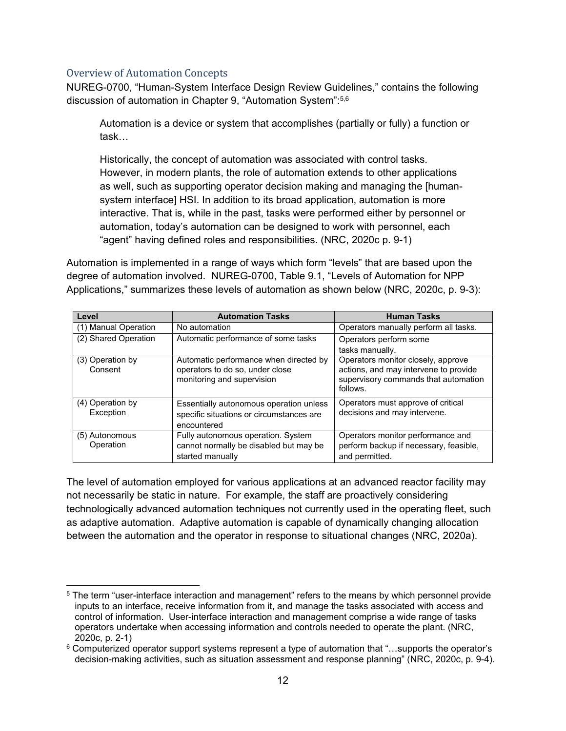#### Overview of Automation Concepts

NUREG-0700, "Human-System Interface Design Review Guidelines," contains the following discussion of automation in Chapter 9, "Automation System":5,6

Automation is a device or system that accomplishes (partially or fully) a function or task…

Historically, the concept of automation was associated with control tasks. However, in modern plants, the role of automation extends to other applications as well, such as supporting operator decision making and managing the [humansystem interface] HSI. In addition to its broad application, automation is more interactive. That is, while in the past, tasks were performed either by personnel or automation, today's automation can be designed to work with personnel, each "agent" having defined roles and responsibilities. (NRC, 2020c p. 9-1)

Automation is implemented in a range of ways which form "levels" that are based upon the degree of automation involved. NUREG-0700, Table 9.1, "Levels of Automation for NPP Applications," summarizes these levels of automation as shown below (NRC, 2020c, p. 9-3):

| Level                         | <b>Automation Tasks</b>                                                                                 | <b>Human Tasks</b>                                                                                                              |
|-------------------------------|---------------------------------------------------------------------------------------------------------|---------------------------------------------------------------------------------------------------------------------------------|
| (1) Manual Operation          | No automation                                                                                           | Operators manually perform all tasks.                                                                                           |
| (2) Shared Operation          | Automatic performance of some tasks                                                                     | Operators perform some<br>tasks manually.                                                                                       |
| (3) Operation by<br>Consent   | Automatic performance when directed by<br>operators to do so, under close<br>monitoring and supervision | Operators monitor closely, approve<br>actions, and may intervene to provide<br>supervisory commands that automation<br>follows. |
| (4) Operation by<br>Exception | Essentially autonomous operation unless<br>specific situations or circumstances are<br>encountered      | Operators must approve of critical<br>decisions and may intervene.                                                              |
| (5) Autonomous<br>Operation   | Fully autonomous operation. System<br>cannot normally be disabled but may be<br>started manually        | Operators monitor performance and<br>perform backup if necessary, feasible,<br>and permitted.                                   |

The level of automation employed for various applications at an advanced reactor facility may not necessarily be static in nature. For example, the staff are proactively considering technologically advanced automation techniques not currently used in the operating fleet, such as adaptive automation. Adaptive automation is capable of dynamically changing allocation between the automation and the operator in response to situational changes (NRC, 2020a).

 5 The term "user-interface interaction and management" refers to the means by which personnel provide inputs to an interface, receive information from it, and manage the tasks associated with access and control of information. User-interface interaction and management comprise a wide range of tasks operators undertake when accessing information and controls needed to operate the plant. (NRC, 2020c, p. 2-1)

<sup>6</sup> Computerized operator support systems represent a type of automation that "…supports the operator's decision-making activities, such as situation assessment and response planning" (NRC, 2020c, p. 9-4).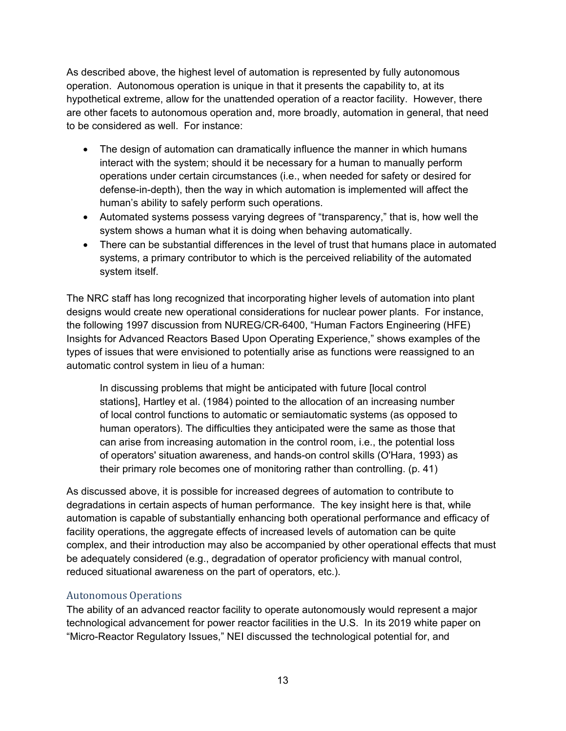As described above, the highest level of automation is represented by fully autonomous operation. Autonomous operation is unique in that it presents the capability to, at its hypothetical extreme, allow for the unattended operation of a reactor facility. However, there are other facets to autonomous operation and, more broadly, automation in general, that need to be considered as well. For instance:

- The design of automation can dramatically influence the manner in which humans interact with the system; should it be necessary for a human to manually perform operations under certain circumstances (i.e., when needed for safety or desired for defense-in-depth), then the way in which automation is implemented will affect the human's ability to safely perform such operations.
- Automated systems possess varying degrees of "transparency," that is, how well the system shows a human what it is doing when behaving automatically.
- There can be substantial differences in the level of trust that humans place in automated systems, a primary contributor to which is the perceived reliability of the automated system itself.

The NRC staff has long recognized that incorporating higher levels of automation into plant designs would create new operational considerations for nuclear power plants. For instance, the following 1997 discussion from NUREG/CR-6400, "Human Factors Engineering (HFE) Insights for Advanced Reactors Based Upon Operating Experience," shows examples of the types of issues that were envisioned to potentially arise as functions were reassigned to an automatic control system in lieu of a human:

In discussing problems that might be anticipated with future [local control stations], Hartley et al. (1984) pointed to the allocation of an increasing number of local control functions to automatic or semiautomatic systems (as opposed to human operators). The difficulties they anticipated were the same as those that can arise from increasing automation in the control room, i.e., the potential loss of operators' situation awareness, and hands-on control skills (O'Hara, 1993) as their primary role becomes one of monitoring rather than controlling. (p. 41)

As discussed above, it is possible for increased degrees of automation to contribute to degradations in certain aspects of human performance. The key insight here is that, while automation is capable of substantially enhancing both operational performance and efficacy of facility operations, the aggregate effects of increased levels of automation can be quite complex, and their introduction may also be accompanied by other operational effects that must be adequately considered (e.g., degradation of operator proficiency with manual control, reduced situational awareness on the part of operators, etc.).

#### Autonomous Operations

The ability of an advanced reactor facility to operate autonomously would represent a major technological advancement for power reactor facilities in the U.S. In its 2019 white paper on "Micro-Reactor Regulatory Issues," NEI discussed the technological potential for, and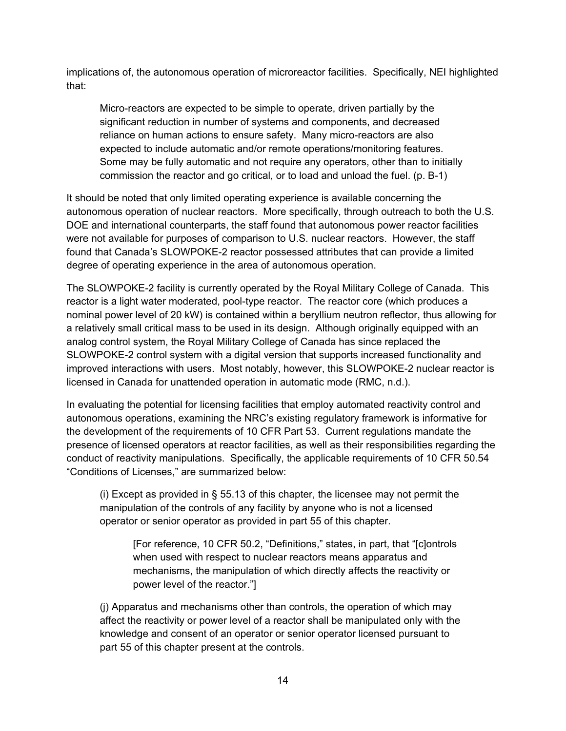implications of, the autonomous operation of microreactor facilities. Specifically, NEI highlighted that:

Micro-reactors are expected to be simple to operate, driven partially by the significant reduction in number of systems and components, and decreased reliance on human actions to ensure safety. Many micro-reactors are also expected to include automatic and/or remote operations/monitoring features. Some may be fully automatic and not require any operators, other than to initially commission the reactor and go critical, or to load and unload the fuel. (p. B-1)

It should be noted that only limited operating experience is available concerning the autonomous operation of nuclear reactors. More specifically, through outreach to both the U.S. DOE and international counterparts, the staff found that autonomous power reactor facilities were not available for purposes of comparison to U.S. nuclear reactors. However, the staff found that Canada's SLOWPOKE-2 reactor possessed attributes that can provide a limited degree of operating experience in the area of autonomous operation.

The SLOWPOKE-2 facility is currently operated by the Royal Military College of Canada. This reactor is a light water moderated, pool-type reactor. The reactor core (which produces a nominal power level of 20 kW) is contained within a beryllium neutron reflector, thus allowing for a relatively small critical mass to be used in its design. Although originally equipped with an analog control system, the Royal Military College of Canada has since replaced the SLOWPOKE-2 control system with a digital version that supports increased functionality and improved interactions with users. Most notably, however, this SLOWPOKE-2 nuclear reactor is licensed in Canada for unattended operation in automatic mode (RMC, n.d.).

In evaluating the potential for licensing facilities that employ automated reactivity control and autonomous operations, examining the NRC's existing regulatory framework is informative for the development of the requirements of 10 CFR Part 53. Current regulations mandate the presence of licensed operators at reactor facilities, as well as their responsibilities regarding the conduct of reactivity manipulations. Specifically, the applicable requirements of 10 CFR 50.54 "Conditions of Licenses," are summarized below:

(i) Except as provided in  $\S$  55.13 of this chapter, the licensee may not permit the manipulation of the controls of any facility by anyone who is not a licensed operator or senior operator as provided in part 55 of this chapter.

[For reference, 10 CFR 50.2, "Definitions," states, in part, that "[c]ontrols when used with respect to nuclear reactors means apparatus and mechanisms, the manipulation of which directly affects the reactivity or power level of the reactor."]

(j) Apparatus and mechanisms other than controls, the operation of which may affect the reactivity or power level of a reactor shall be manipulated only with the knowledge and consent of an operator or senior operator licensed pursuant to part 55 of this chapter present at the controls.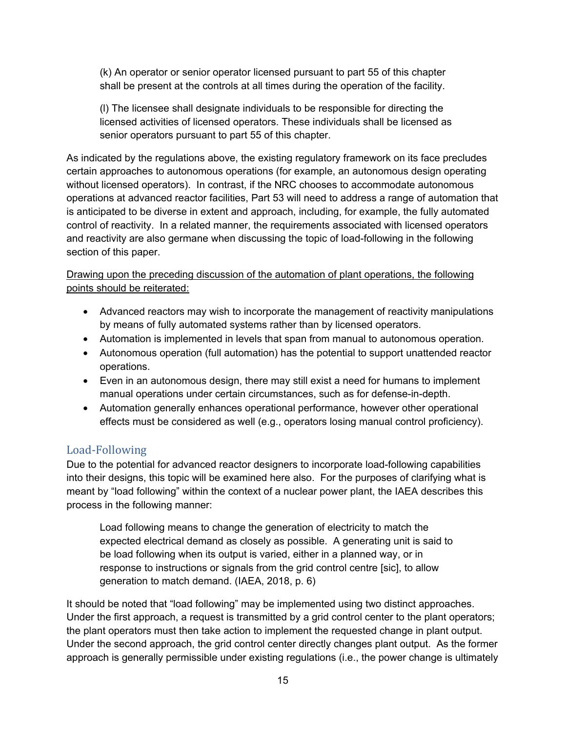(k) An operator or senior operator licensed pursuant to part 55 of this chapter shall be present at the controls at all times during the operation of the facility.

(l) The licensee shall designate individuals to be responsible for directing the licensed activities of licensed operators. These individuals shall be licensed as senior operators pursuant to part 55 of this chapter.

As indicated by the regulations above, the existing regulatory framework on its face precludes certain approaches to autonomous operations (for example, an autonomous design operating without licensed operators). In contrast, if the NRC chooses to accommodate autonomous operations at advanced reactor facilities, Part 53 will need to address a range of automation that is anticipated to be diverse in extent and approach, including, for example, the fully automated control of reactivity. In a related manner, the requirements associated with licensed operators and reactivity are also germane when discussing the topic of load-following in the following section of this paper.

Drawing upon the preceding discussion of the automation of plant operations, the following points should be reiterated:

- Advanced reactors may wish to incorporate the management of reactivity manipulations by means of fully automated systems rather than by licensed operators.
- Automation is implemented in levels that span from manual to autonomous operation.
- Autonomous operation (full automation) has the potential to support unattended reactor operations.
- Even in an autonomous design, there may still exist a need for humans to implement manual operations under certain circumstances, such as for defense-in-depth.
- Automation generally enhances operational performance, however other operational effects must be considered as well (e.g., operators losing manual control proficiency).

#### Load-Following

Due to the potential for advanced reactor designers to incorporate load-following capabilities into their designs, this topic will be examined here also. For the purposes of clarifying what is meant by "load following" within the context of a nuclear power plant, the IAEA describes this process in the following manner:

Load following means to change the generation of electricity to match the expected electrical demand as closely as possible. A generating unit is said to be load following when its output is varied, either in a planned way, or in response to instructions or signals from the grid control centre [sic], to allow generation to match demand. (IAEA, 2018, p. 6)

It should be noted that "load following" may be implemented using two distinct approaches. Under the first approach, a request is transmitted by a grid control center to the plant operators; the plant operators must then take action to implement the requested change in plant output. Under the second approach, the grid control center directly changes plant output. As the former approach is generally permissible under existing regulations (i.e., the power change is ultimately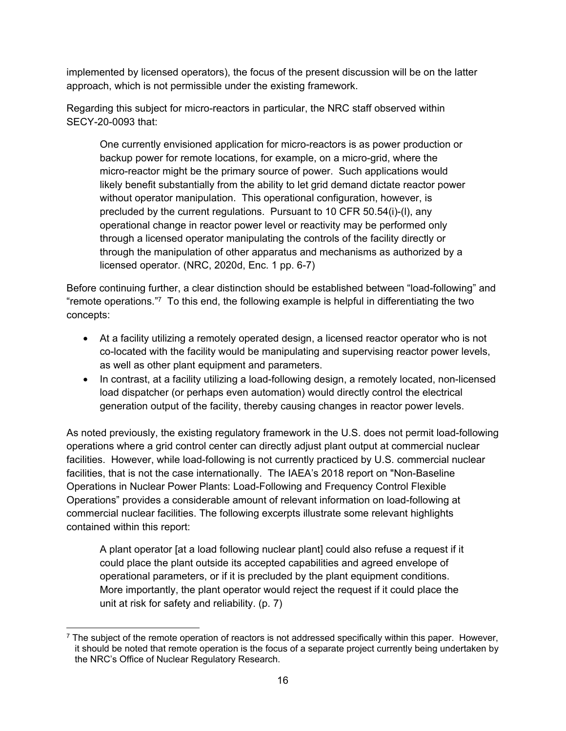implemented by licensed operators), the focus of the present discussion will be on the latter approach, which is not permissible under the existing framework.

Regarding this subject for micro-reactors in particular, the NRC staff observed within SECY-20-0093 that:

One currently envisioned application for micro-reactors is as power production or backup power for remote locations, for example, on a micro-grid, where the micro-reactor might be the primary source of power. Such applications would likely benefit substantially from the ability to let grid demand dictate reactor power without operator manipulation. This operational configuration, however, is precluded by the current regulations. Pursuant to 10 CFR 50.54(i)-(l), any operational change in reactor power level or reactivity may be performed only through a licensed operator manipulating the controls of the facility directly or through the manipulation of other apparatus and mechanisms as authorized by a licensed operator. (NRC, 2020d, Enc. 1 pp. 6-7)

Before continuing further, a clear distinction should be established between "load-following" and "remote operations."7 To this end, the following example is helpful in differentiating the two concepts:

- At a facility utilizing a remotely operated design, a licensed reactor operator who is not co-located with the facility would be manipulating and supervising reactor power levels, as well as other plant equipment and parameters.
- In contrast, at a facility utilizing a load-following design, a remotely located, non-licensed load dispatcher (or perhaps even automation) would directly control the electrical generation output of the facility, thereby causing changes in reactor power levels.

As noted previously, the existing regulatory framework in the U.S. does not permit load-following operations where a grid control center can directly adjust plant output at commercial nuclear facilities. However, while load-following is not currently practiced by U.S. commercial nuclear facilities, that is not the case internationally. The IAEA's 2018 report on "Non-Baseline Operations in Nuclear Power Plants: Load-Following and Frequency Control Flexible Operations" provides a considerable amount of relevant information on load-following at commercial nuclear facilities. The following excerpts illustrate some relevant highlights contained within this report:

A plant operator [at a load following nuclear plant] could also refuse a request if it could place the plant outside its accepted capabilities and agreed envelope of operational parameters, or if it is precluded by the plant equipment conditions. More importantly, the plant operator would reject the request if it could place the unit at risk for safety and reliability. (p. 7)

 $\overline{a}$  $\frac{7}{1}$  The subject of the remote operation of reactors is not addressed specifically within this paper. However, it should be noted that remote operation is the focus of a separate project currently being undertaken by the NRC's Office of Nuclear Regulatory Research.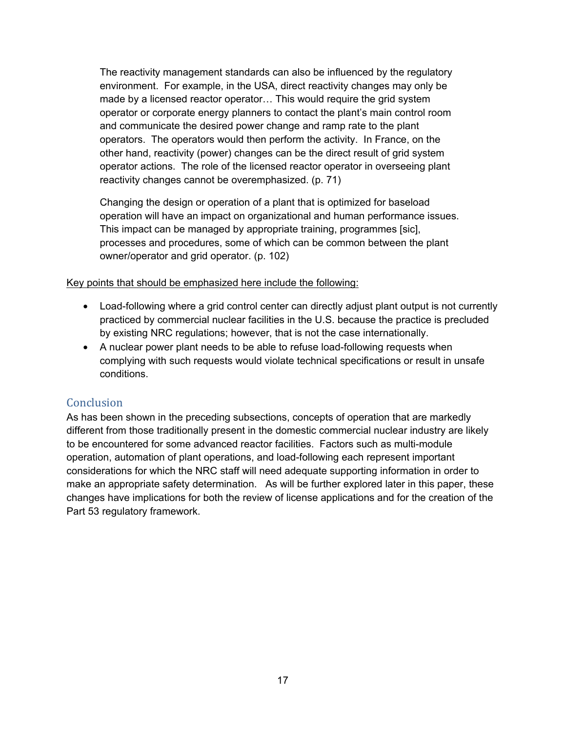The reactivity management standards can also be influenced by the regulatory environment. For example, in the USA, direct reactivity changes may only be made by a licensed reactor operator… This would require the grid system operator or corporate energy planners to contact the plant's main control room and communicate the desired power change and ramp rate to the plant operators. The operators would then perform the activity. In France, on the other hand, reactivity (power) changes can be the direct result of grid system operator actions. The role of the licensed reactor operator in overseeing plant reactivity changes cannot be overemphasized. (p. 71)

Changing the design or operation of a plant that is optimized for baseload operation will have an impact on organizational and human performance issues. This impact can be managed by appropriate training, programmes [sic], processes and procedures, some of which can be common between the plant owner/operator and grid operator. (p. 102)

#### Key points that should be emphasized here include the following:

- Load-following where a grid control center can directly adjust plant output is not currently practiced by commercial nuclear facilities in the U.S. because the practice is precluded by existing NRC regulations; however, that is not the case internationally.
- A nuclear power plant needs to be able to refuse load-following requests when complying with such requests would violate technical specifications or result in unsafe conditions.

#### **Conclusion**

As has been shown in the preceding subsections, concepts of operation that are markedly different from those traditionally present in the domestic commercial nuclear industry are likely to be encountered for some advanced reactor facilities. Factors such as multi-module operation, automation of plant operations, and load-following each represent important considerations for which the NRC staff will need adequate supporting information in order to make an appropriate safety determination. As will be further explored later in this paper, these changes have implications for both the review of license applications and for the creation of the Part 53 regulatory framework.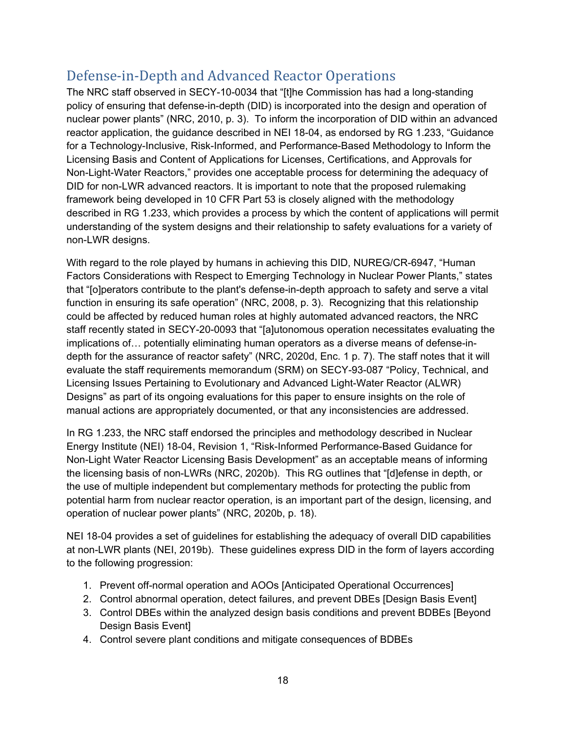## Defense-in-Depth and Advanced Reactor Operations

The NRC staff observed in SECY-10-0034 that "[t]he Commission has had a long-standing policy of ensuring that defense-in-depth (DID) is incorporated into the design and operation of nuclear power plants" (NRC, 2010, p. 3). To inform the incorporation of DID within an advanced reactor application, the guidance described in NEI 18-04, as endorsed by RG 1.233, "Guidance for a Technology-Inclusive, Risk-Informed, and Performance-Based Methodology to Inform the Licensing Basis and Content of Applications for Licenses, Certifications, and Approvals for Non-Light-Water Reactors," provides one acceptable process for determining the adequacy of DID for non-LWR advanced reactors. It is important to note that the proposed rulemaking framework being developed in 10 CFR Part 53 is closely aligned with the methodology described in RG 1.233, which provides a process by which the content of applications will permit understanding of the system designs and their relationship to safety evaluations for a variety of non-LWR designs.

With regard to the role played by humans in achieving this DID, NUREG/CR-6947, "Human Factors Considerations with Respect to Emerging Technology in Nuclear Power Plants," states that "[o]perators contribute to the plant's defense-in-depth approach to safety and serve a vital function in ensuring its safe operation" (NRC, 2008, p. 3). Recognizing that this relationship could be affected by reduced human roles at highly automated advanced reactors, the NRC staff recently stated in SECY-20-0093 that "[a]utonomous operation necessitates evaluating the implications of… potentially eliminating human operators as a diverse means of defense-indepth for the assurance of reactor safety" (NRC, 2020d, Enc. 1 p. 7). The staff notes that it will evaluate the staff requirements memorandum (SRM) on SECY-93-087 "Policy, Technical, and Licensing Issues Pertaining to Evolutionary and Advanced Light-Water Reactor (ALWR) Designs" as part of its ongoing evaluations for this paper to ensure insights on the role of manual actions are appropriately documented, or that any inconsistencies are addressed.

In RG 1.233, the NRC staff endorsed the principles and methodology described in Nuclear Energy Institute (NEI) 18-04, Revision 1, "Risk-Informed Performance-Based Guidance for Non-Light Water Reactor Licensing Basis Development" as an acceptable means of informing the licensing basis of non-LWRs (NRC, 2020b). This RG outlines that "[d]efense in depth, or the use of multiple independent but complementary methods for protecting the public from potential harm from nuclear reactor operation, is an important part of the design, licensing, and operation of nuclear power plants" (NRC, 2020b, p. 18).

NEI 18-04 provides a set of guidelines for establishing the adequacy of overall DID capabilities at non-LWR plants (NEI, 2019b). These guidelines express DID in the form of layers according to the following progression:

- 1. Prevent off-normal operation and AOOs [Anticipated Operational Occurrences]
- 2. Control abnormal operation, detect failures, and prevent DBEs [Design Basis Event]
- 3. Control DBEs within the analyzed design basis conditions and prevent BDBEs [Beyond Design Basis Event]
- 4. Control severe plant conditions and mitigate consequences of BDBEs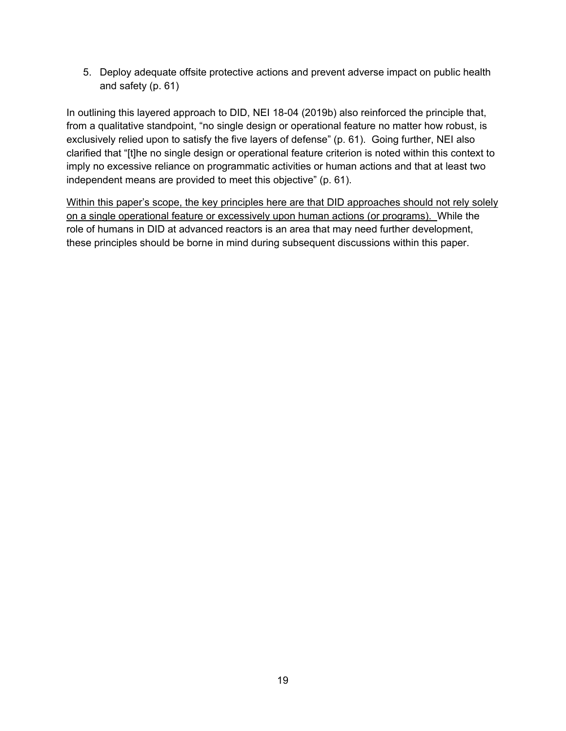5. Deploy adequate offsite protective actions and prevent adverse impact on public health and safety (p. 61)

In outlining this layered approach to DID, NEI 18-04 (2019b) also reinforced the principle that, from a qualitative standpoint, "no single design or operational feature no matter how robust, is exclusively relied upon to satisfy the five layers of defense" (p. 61). Going further, NEI also clarified that "[t]he no single design or operational feature criterion is noted within this context to imply no excessive reliance on programmatic activities or human actions and that at least two independent means are provided to meet this objective" (p. 61).

Within this paper's scope, the key principles here are that DID approaches should not rely solely on a single operational feature or excessively upon human actions (or programs). While the role of humans in DID at advanced reactors is an area that may need further development, these principles should be borne in mind during subsequent discussions within this paper.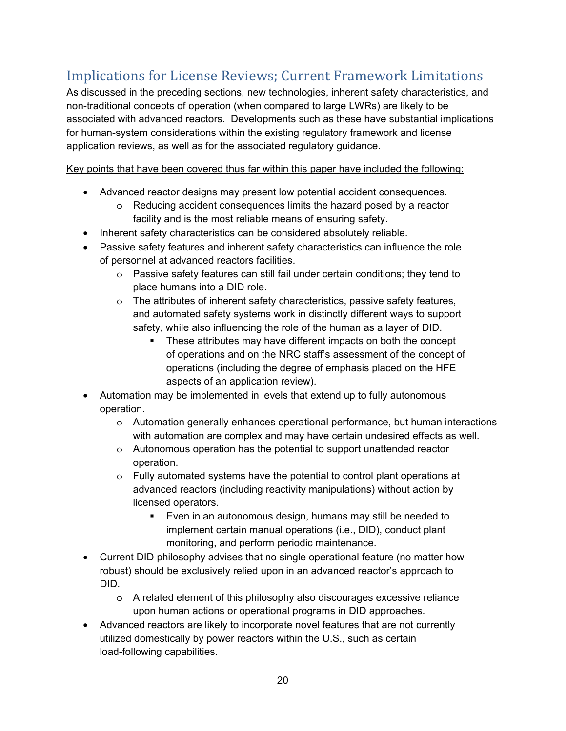# Implications for License Reviews; Current Framework Limitations

As discussed in the preceding sections, new technologies, inherent safety characteristics, and non-traditional concepts of operation (when compared to large LWRs) are likely to be associated with advanced reactors. Developments such as these have substantial implications for human-system considerations within the existing regulatory framework and license application reviews, as well as for the associated regulatory guidance.

Key points that have been covered thus far within this paper have included the following:

- Advanced reactor designs may present low potential accident consequences.
	- o Reducing accident consequences limits the hazard posed by a reactor facility and is the most reliable means of ensuring safety.
- Inherent safety characteristics can be considered absolutely reliable.
- Passive safety features and inherent safety characteristics can influence the role of personnel at advanced reactors facilities.
	- o Passive safety features can still fail under certain conditions; they tend to place humans into a DID role.
	- o The attributes of inherent safety characteristics, passive safety features, and automated safety systems work in distinctly different ways to support safety, while also influencing the role of the human as a layer of DID.
		- These attributes may have different impacts on both the concept of operations and on the NRC staff's assessment of the concept of operations (including the degree of emphasis placed on the HFE aspects of an application review).
- Automation may be implemented in levels that extend up to fully autonomous operation.
	- o Automation generally enhances operational performance, but human interactions with automation are complex and may have certain undesired effects as well.
	- o Autonomous operation has the potential to support unattended reactor operation.
	- o Fully automated systems have the potential to control plant operations at advanced reactors (including reactivity manipulations) without action by licensed operators.
		- Even in an autonomous design, humans may still be needed to implement certain manual operations (i.e., DID), conduct plant monitoring, and perform periodic maintenance.
- Current DID philosophy advises that no single operational feature (no matter how robust) should be exclusively relied upon in an advanced reactor's approach to DID.
	- o A related element of this philosophy also discourages excessive reliance upon human actions or operational programs in DID approaches.
- Advanced reactors are likely to incorporate novel features that are not currently utilized domestically by power reactors within the U.S., such as certain load-following capabilities.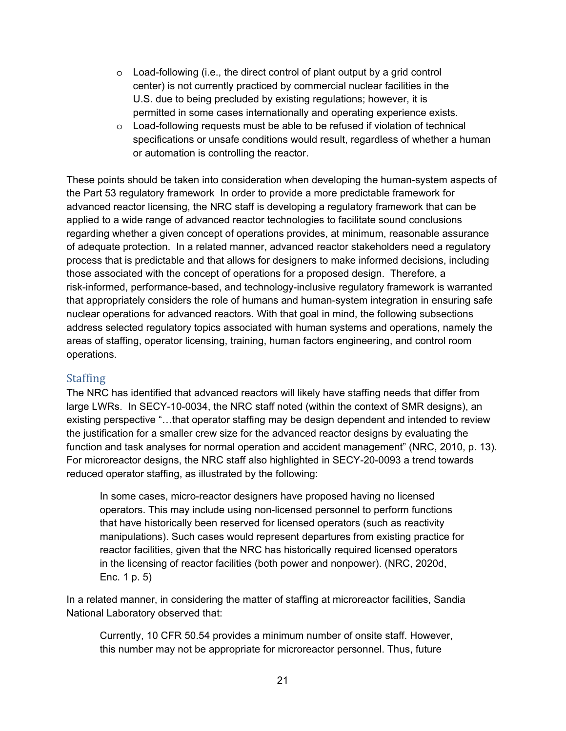- o Load-following (i.e., the direct control of plant output by a grid control center) is not currently practiced by commercial nuclear facilities in the U.S. due to being precluded by existing regulations; however, it is permitted in some cases internationally and operating experience exists.
- o Load-following requests must be able to be refused if violation of technical specifications or unsafe conditions would result, regardless of whether a human or automation is controlling the reactor.

These points should be taken into consideration when developing the human-system aspects of the Part 53 regulatory framework In order to provide a more predictable framework for advanced reactor licensing, the NRC staff is developing a regulatory framework that can be applied to a wide range of advanced reactor technologies to facilitate sound conclusions regarding whether a given concept of operations provides, at minimum, reasonable assurance of adequate protection. In a related manner, advanced reactor stakeholders need a regulatory process that is predictable and that allows for designers to make informed decisions, including those associated with the concept of operations for a proposed design. Therefore, a risk-informed, performance-based, and technology-inclusive regulatory framework is warranted that appropriately considers the role of humans and human-system integration in ensuring safe nuclear operations for advanced reactors. With that goal in mind, the following subsections address selected regulatory topics associated with human systems and operations, namely the areas of staffing, operator licensing, training, human factors engineering, and control room operations.

#### **Staffing**

The NRC has identified that advanced reactors will likely have staffing needs that differ from large LWRs. In SECY-10-0034, the NRC staff noted (within the context of SMR designs), an existing perspective "…that operator staffing may be design dependent and intended to review the justification for a smaller crew size for the advanced reactor designs by evaluating the function and task analyses for normal operation and accident management" (NRC, 2010, p. 13). For microreactor designs, the NRC staff also highlighted in SECY-20-0093 a trend towards reduced operator staffing, as illustrated by the following:

In some cases, micro-reactor designers have proposed having no licensed operators. This may include using non-licensed personnel to perform functions that have historically been reserved for licensed operators (such as reactivity manipulations). Such cases would represent departures from existing practice for reactor facilities, given that the NRC has historically required licensed operators in the licensing of reactor facilities (both power and nonpower). (NRC, 2020d, Enc. 1 p. 5)

In a related manner, in considering the matter of staffing at microreactor facilities, Sandia National Laboratory observed that:

Currently, 10 CFR 50.54 provides a minimum number of onsite staff. However, this number may not be appropriate for microreactor personnel. Thus, future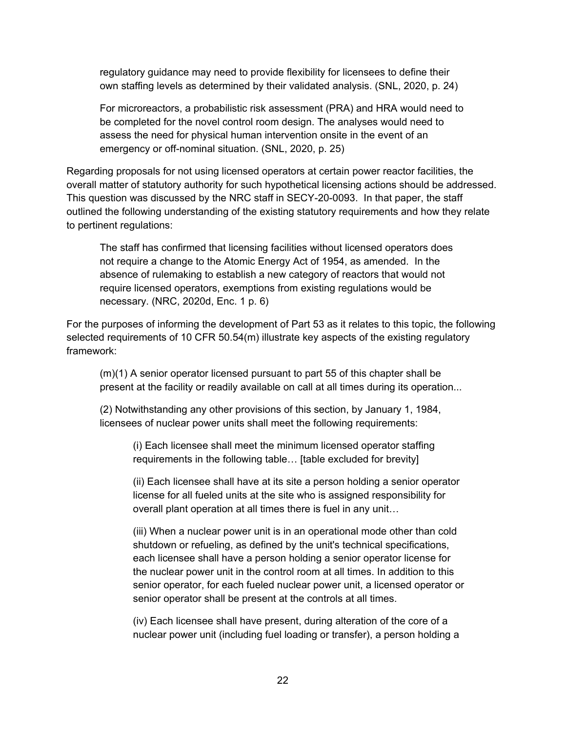regulatory guidance may need to provide flexibility for licensees to define their own staffing levels as determined by their validated analysis. (SNL, 2020, p. 24)

For microreactors, a probabilistic risk assessment (PRA) and HRA would need to be completed for the novel control room design. The analyses would need to assess the need for physical human intervention onsite in the event of an emergency or off-nominal situation. (SNL, 2020, p. 25)

Regarding proposals for not using licensed operators at certain power reactor facilities, the overall matter of statutory authority for such hypothetical licensing actions should be addressed. This question was discussed by the NRC staff in SECY-20-0093. In that paper, the staff outlined the following understanding of the existing statutory requirements and how they relate to pertinent regulations:

The staff has confirmed that licensing facilities without licensed operators does not require a change to the Atomic Energy Act of 1954, as amended. In the absence of rulemaking to establish a new category of reactors that would not require licensed operators, exemptions from existing regulations would be necessary. (NRC, 2020d, Enc. 1 p. 6)

For the purposes of informing the development of Part 53 as it relates to this topic, the following selected requirements of 10 CFR 50.54(m) illustrate key aspects of the existing regulatory framework:

(m)(1) A senior operator licensed pursuant to part 55 of this chapter shall be present at the facility or readily available on call at all times during its operation...

(2) Notwithstanding any other provisions of this section, by January 1, 1984, licensees of nuclear power units shall meet the following requirements:

(i) Each licensee shall meet the minimum licensed operator staffing requirements in the following table… [table excluded for brevity]

(ii) Each licensee shall have at its site a person holding a senior operator license for all fueled units at the site who is assigned responsibility for overall plant operation at all times there is fuel in any unit…

(iii) When a nuclear power unit is in an operational mode other than cold shutdown or refueling, as defined by the unit's technical specifications, each licensee shall have a person holding a senior operator license for the nuclear power unit in the control room at all times. In addition to this senior operator, for each fueled nuclear power unit, a licensed operator or senior operator shall be present at the controls at all times.

(iv) Each licensee shall have present, during alteration of the core of a nuclear power unit (including fuel loading or transfer), a person holding a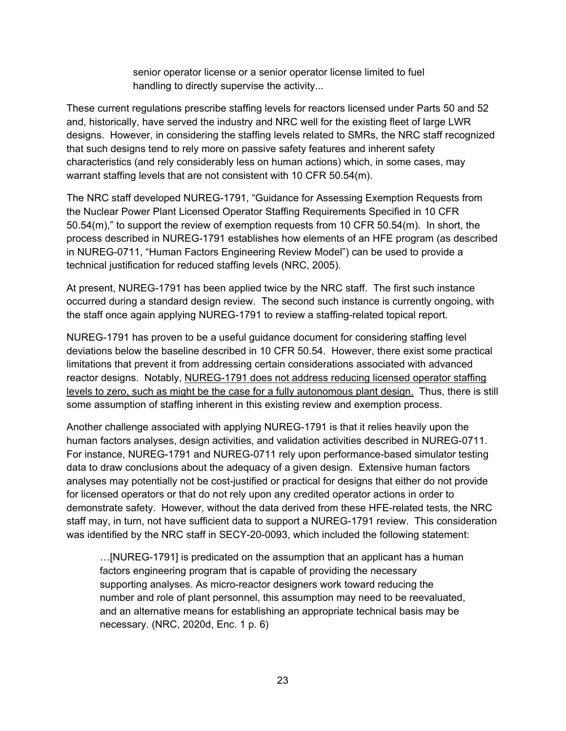senior operator license or a senior operator license limited to fuel handling to directly supervise the activity...

These current regulations prescribe staffing levels for reactors licensed under Parts 50 and 52 and, historically, have served the industry and NRC well for the existing fleet of large LWR designs. However, in considering the staffing levels related to SMRs, the NRC staff recognized that such designs tend to rely more on passive safety features and inherent safety characteristics (and rely considerably less on human actions) which, in some cases, may warrant staffing levels that are not consistent with 10 CFR 50.54(m).

The NRC staff developed NUREG-1791, "Guidance for Assessing Exemption Requests from the Nuclear Power Plant Licensed Operator Staffing Requirements Specified in 10 CFR 50.54(m)," to support the review of exemption requests from 10 CFR 50.54(m). In short, the process described in NUREG-1791 establishes how elements of an HFE program (as described in NUREG-0711, "Human Factors Engineering Review Model") can be used to provide a technical justification for reduced staffing levels (NRC, 2005).

At present, NUREG-1791 has been applied twice by the NRC staff. The first such instance occurred during a standard design review. The second such instance is currently ongoing, with the staff once again applying NUREG-1791 to review a staffing-related topical report.

NUREG-1791 has proven to be a useful guidance document for considering staffing level deviations below the baseline described in 10 CFR 50.54. However, there exist some practical limitations that prevent it from addressing certain considerations associated with advanced reactor designs. Notably, NUREG-1791 does not address reducing licensed operator staffing levels to zero, such as might be the case for a fully autonomous plant design. Thus, there is still some assumption of staffing inherent in this existing review and exemption process.

Another challenge associated with applying NUREG-1791 is that it relies heavily upon the human factors analyses, design activities, and validation activities described in NUREG-0711. For instance, NUREG-1791 and NUREG-0711 rely upon performance-based simulator testing data to draw conclusions about the adequacy of a given design. Extensive human factors analyses may potentially not be cost-justified or practical for designs that either do not provide for licensed operators or that do not rely upon any credited operator actions in order to demonstrate safety. However, without the data derived from these HFE-related tests, the NRC staff may, in turn, not have sufficient data to support a NUREG-1791 review. This consideration was identified by the NRC staff in SECY-20-0093, which included the following statement:

…[NUREG-1791] is predicated on the assumption that an applicant has a human factors engineering program that is capable of providing the necessary supporting analyses. As micro-reactor designers work toward reducing the number and role of plant personnel, this assumption may need to be reevaluated, and an alternative means for establishing an appropriate technical basis may be necessary. (NRC, 2020d, Enc. 1 p. 6)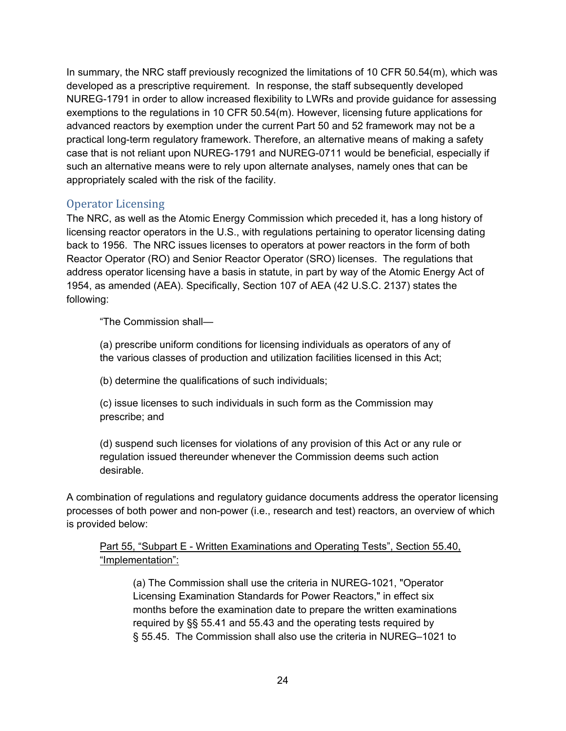In summary, the NRC staff previously recognized the limitations of 10 CFR 50.54(m), which was developed as a prescriptive requirement. In response, the staff subsequently developed NUREG-1791 in order to allow increased flexibility to LWRs and provide guidance for assessing exemptions to the regulations in 10 CFR 50.54(m). However, licensing future applications for advanced reactors by exemption under the current Part 50 and 52 framework may not be a practical long-term regulatory framework. Therefore, an alternative means of making a safety case that is not reliant upon NUREG-1791 and NUREG-0711 would be beneficial, especially if such an alternative means were to rely upon alternate analyses, namely ones that can be appropriately scaled with the risk of the facility.

### Operator Licensing

The NRC, as well as the Atomic Energy Commission which preceded it, has a long history of licensing reactor operators in the U.S., with regulations pertaining to operator licensing dating back to 1956. The NRC issues licenses to operators at power reactors in the form of both Reactor Operator (RO) and Senior Reactor Operator (SRO) licenses. The regulations that address operator licensing have a basis in statute, in part by way of the Atomic Energy Act of 1954, as amended (AEA). Specifically, Section 107 of AEA (42 U.S.C. 2137) states the following:

"The Commission shall—

(a) prescribe uniform conditions for licensing individuals as operators of any of the various classes of production and utilization facilities licensed in this Act;

(b) determine the qualifications of such individuals;

(c) issue licenses to such individuals in such form as the Commission may prescribe; and

(d) suspend such licenses for violations of any provision of this Act or any rule or regulation issued thereunder whenever the Commission deems such action desirable.

A combination of regulations and regulatory guidance documents address the operator licensing processes of both power and non-power (i.e., research and test) reactors, an overview of which is provided below:

#### Part 55, "Subpart E - Written Examinations and Operating Tests", Section 55.40, "Implementation":

(a) The Commission shall use the criteria in NUREG-1021, "Operator Licensing Examination Standards for Power Reactors," in effect six months before the examination date to prepare the written examinations required by §§ 55.41 and 55.43 and the operating tests required by § 55.45. The Commission shall also use the criteria in NUREG–1021 to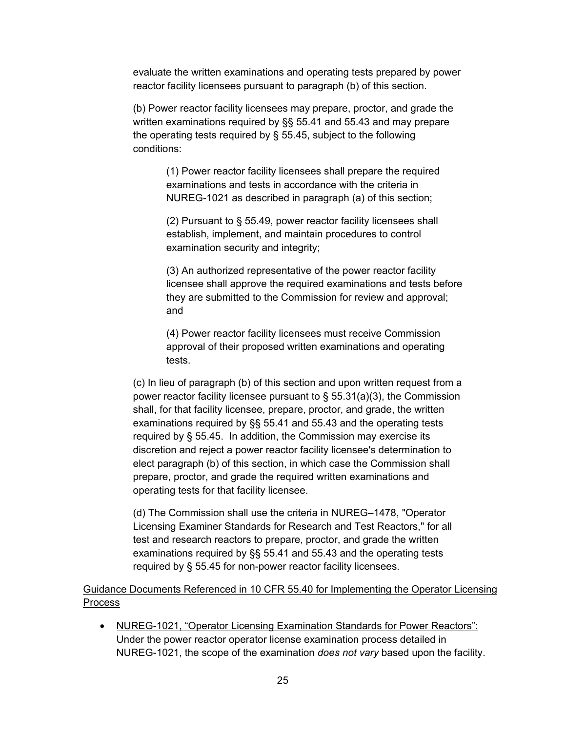evaluate the written examinations and operating tests prepared by power reactor facility licensees pursuant to paragraph (b) of this section.

(b) Power reactor facility licensees may prepare, proctor, and grade the written examinations required by §§ 55.41 and 55.43 and may prepare the operating tests required by § 55.45, subject to the following conditions:

> (1) Power reactor facility licensees shall prepare the required examinations and tests in accordance with the criteria in NUREG-1021 as described in paragraph (a) of this section;

> (2) Pursuant to § 55.49, power reactor facility licensees shall establish, implement, and maintain procedures to control examination security and integrity;

(3) An authorized representative of the power reactor facility licensee shall approve the required examinations and tests before they are submitted to the Commission for review and approval; and

(4) Power reactor facility licensees must receive Commission approval of their proposed written examinations and operating tests.

(c) In lieu of paragraph (b) of this section and upon written request from a power reactor facility licensee pursuant to  $\S$  55.31(a)(3), the Commission shall, for that facility licensee, prepare, proctor, and grade, the written examinations required by §§ 55.41 and 55.43 and the operating tests required by § 55.45. In addition, the Commission may exercise its discretion and reject a power reactor facility licensee's determination to elect paragraph (b) of this section, in which case the Commission shall prepare, proctor, and grade the required written examinations and operating tests for that facility licensee.

(d) The Commission shall use the criteria in NUREG–1478, "Operator Licensing Examiner Standards for Research and Test Reactors," for all test and research reactors to prepare, proctor, and grade the written examinations required by §§ 55.41 and 55.43 and the operating tests required by § 55.45 for non-power reactor facility licensees.

#### Guidance Documents Referenced in 10 CFR 55.40 for Implementing the Operator Licensing Process

• NUREG-1021, "Operator Licensing Examination Standards for Power Reactors": Under the power reactor operator license examination process detailed in NUREG-1021, the scope of the examination *does not vary* based upon the facility.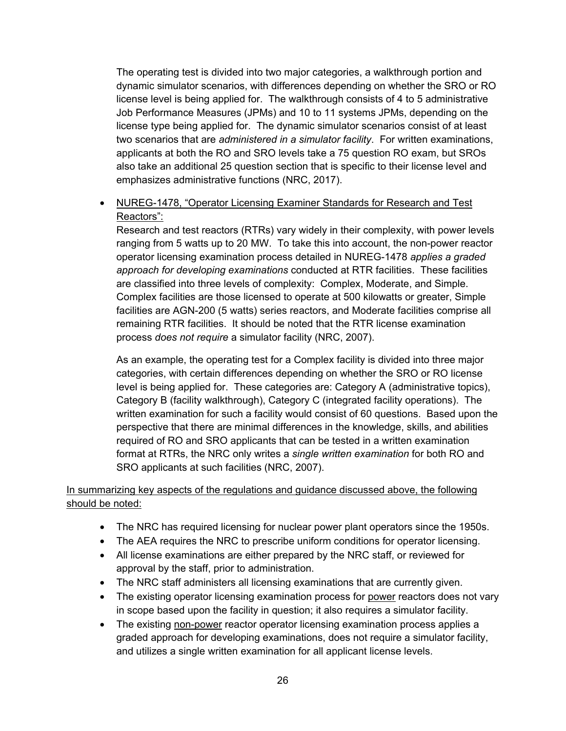The operating test is divided into two major categories, a walkthrough portion and dynamic simulator scenarios, with differences depending on whether the SRO or RO license level is being applied for. The walkthrough consists of 4 to 5 administrative Job Performance Measures (JPMs) and 10 to 11 systems JPMs, depending on the license type being applied for. The dynamic simulator scenarios consist of at least two scenarios that are *administered in a simulator facility*. For written examinations, applicants at both the RO and SRO levels take a 75 question RO exam, but SROs also take an additional 25 question section that is specific to their license level and emphasizes administrative functions (NRC, 2017).

#### • NUREG-1478, "Operator Licensing Examiner Standards for Research and Test Reactors":

Research and test reactors (RTRs) vary widely in their complexity, with power levels ranging from 5 watts up to 20 MW. To take this into account, the non-power reactor operator licensing examination process detailed in NUREG-1478 *applies a graded approach for developing examinations* conducted at RTR facilities. These facilities are classified into three levels of complexity: Complex, Moderate, and Simple. Complex facilities are those licensed to operate at 500 kilowatts or greater, Simple facilities are AGN-200 (5 watts) series reactors, and Moderate facilities comprise all remaining RTR facilities. It should be noted that the RTR license examination process *does not require* a simulator facility (NRC, 2007).

As an example, the operating test for a Complex facility is divided into three major categories, with certain differences depending on whether the SRO or RO license level is being applied for. These categories are: Category A (administrative topics), Category B (facility walkthrough), Category C (integrated facility operations). The written examination for such a facility would consist of 60 questions. Based upon the perspective that there are minimal differences in the knowledge, skills, and abilities required of RO and SRO applicants that can be tested in a written examination format at RTRs, the NRC only writes a *single written examination* for both RO and SRO applicants at such facilities (NRC, 2007).

#### In summarizing key aspects of the regulations and guidance discussed above, the following should be noted:

- The NRC has required licensing for nuclear power plant operators since the 1950s.
- The AEA requires the NRC to prescribe uniform conditions for operator licensing.
- All license examinations are either prepared by the NRC staff, or reviewed for approval by the staff, prior to administration.
- The NRC staff administers all licensing examinations that are currently given.
- The existing operator licensing examination process for power reactors does not vary in scope based upon the facility in question; it also requires a simulator facility.
- The existing non-power reactor operator licensing examination process applies a graded approach for developing examinations, does not require a simulator facility, and utilizes a single written examination for all applicant license levels.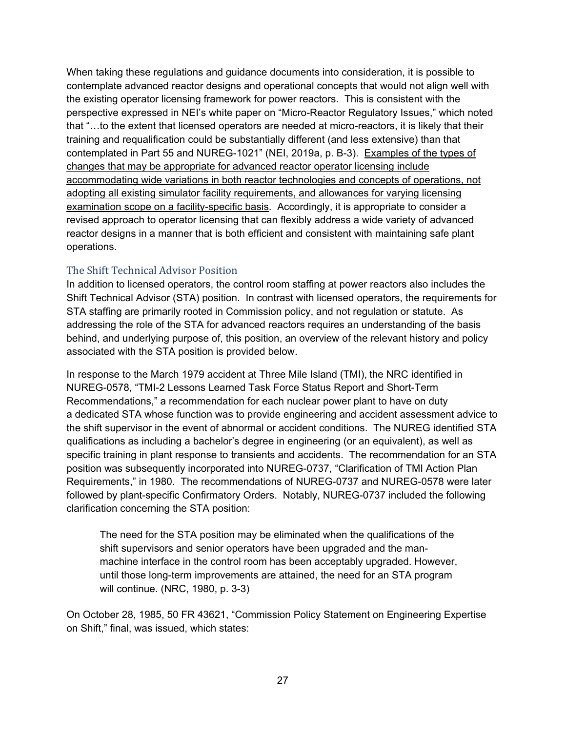When taking these regulations and guidance documents into consideration, it is possible to contemplate advanced reactor designs and operational concepts that would not align well with the existing operator licensing framework for power reactors. This is consistent with the perspective expressed in NEI's white paper on "Micro-Reactor Regulatory Issues," which noted that "…to the extent that licensed operators are needed at micro-reactors, it is likely that their training and requalification could be substantially different (and less extensive) than that contemplated in Part 55 and NUREG-1021" (NEI, 2019a, p. B-3). Examples of the types of changes that may be appropriate for advanced reactor operator licensing include accommodating wide variations in both reactor technologies and concepts of operations, not adopting all existing simulator facility requirements, and allowances for varying licensing examination scope on a facility-specific basis. Accordingly, it is appropriate to consider a revised approach to operator licensing that can flexibly address a wide variety of advanced reactor designs in a manner that is both efficient and consistent with maintaining safe plant operations.

#### The Shift Technical Advisor Position

In addition to licensed operators, the control room staffing at power reactors also includes the Shift Technical Advisor (STA) position. In contrast with licensed operators, the requirements for STA staffing are primarily rooted in Commission policy, and not regulation or statute. As addressing the role of the STA for advanced reactors requires an understanding of the basis behind, and underlying purpose of, this position, an overview of the relevant history and policy associated with the STA position is provided below.

In response to the March 1979 accident at Three Mile Island (TMI), the NRC identified in NUREG-0578, "TMI-2 Lessons Learned Task Force Status Report and Short-Term Recommendations," a recommendation for each nuclear power plant to have on duty a dedicated STA whose function was to provide engineering and accident assessment advice to the shift supervisor in the event of abnormal or accident conditions. The NUREG identified STA qualifications as including a bachelor's degree in engineering (or an equivalent), as well as specific training in plant response to transients and accidents. The recommendation for an STA position was subsequently incorporated into NUREG-0737, "Clarification of TMI Action Plan Requirements," in 1980. The recommendations of NUREG-0737 and NUREG-0578 were later followed by plant-specific Confirmatory Orders. Notably, NUREG-0737 included the following clarification concerning the STA position:

The need for the STA position may be eliminated when the qualifications of the shift supervisors and senior operators have been upgraded and the manmachine interface in the control room has been acceptably upgraded. However, until those long-term improvements are attained, the need for an STA program will continue. (NRC, 1980, p. 3-3)

On October 28, 1985, 50 FR 43621, "Commission Policy Statement on Engineering Expertise on Shift," final, was issued, which states: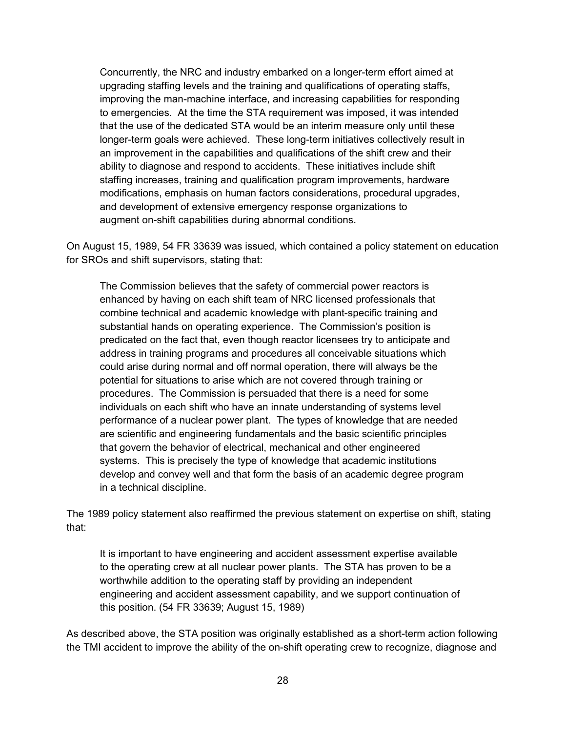Concurrently, the NRC and industry embarked on a longer-term effort aimed at upgrading staffing levels and the training and qualifications of operating staffs, improving the man-machine interface, and increasing capabilities for responding to emergencies. At the time the STA requirement was imposed, it was intended that the use of the dedicated STA would be an interim measure only until these longer-term goals were achieved. These long-term initiatives collectively result in an improvement in the capabilities and qualifications of the shift crew and their ability to diagnose and respond to accidents. These initiatives include shift staffing increases, training and qualification program improvements, hardware modifications, emphasis on human factors considerations, procedural upgrades, and development of extensive emergency response organizations to augment on-shift capabilities during abnormal conditions.

On August 15, 1989, 54 FR 33639 was issued, which contained a policy statement on education for SROs and shift supervisors, stating that:

The Commission believes that the safety of commercial power reactors is enhanced by having on each shift team of NRC licensed professionals that combine technical and academic knowledge with plant-specific training and substantial hands on operating experience. The Commission's position is predicated on the fact that, even though reactor licensees try to anticipate and address in training programs and procedures all conceivable situations which could arise during normal and off normal operation, there will always be the potential for situations to arise which are not covered through training or procedures. The Commission is persuaded that there is a need for some individuals on each shift who have an innate understanding of systems level performance of a nuclear power plant. The types of knowledge that are needed are scientific and engineering fundamentals and the basic scientific principles that govern the behavior of electrical, mechanical and other engineered systems. This is precisely the type of knowledge that academic institutions develop and convey well and that form the basis of an academic degree program in a technical discipline.

The 1989 policy statement also reaffirmed the previous statement on expertise on shift, stating that:

It is important to have engineering and accident assessment expertise available to the operating crew at all nuclear power plants. The STA has proven to be a worthwhile addition to the operating staff by providing an independent engineering and accident assessment capability, and we support continuation of this position. (54 FR 33639; August 15, 1989)

As described above, the STA position was originally established as a short-term action following the TMI accident to improve the ability of the on-shift operating crew to recognize, diagnose and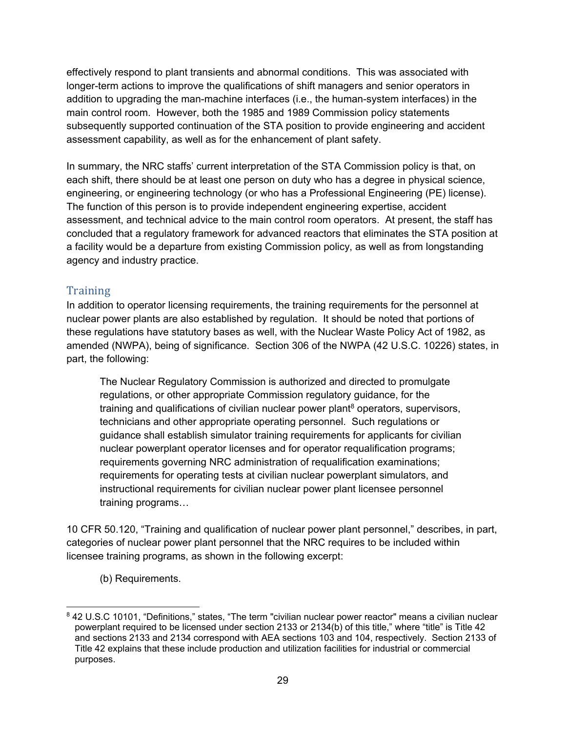effectively respond to plant transients and abnormal conditions. This was associated with longer-term actions to improve the qualifications of shift managers and senior operators in addition to upgrading the man-machine interfaces (i.e., the human-system interfaces) in the main control room. However, both the 1985 and 1989 Commission policy statements subsequently supported continuation of the STA position to provide engineering and accident assessment capability, as well as for the enhancement of plant safety.

In summary, the NRC staffs' current interpretation of the STA Commission policy is that, on each shift, there should be at least one person on duty who has a degree in physical science, engineering, or engineering technology (or who has a Professional Engineering (PE) license). The function of this person is to provide independent engineering expertise, accident assessment, and technical advice to the main control room operators. At present, the staff has concluded that a regulatory framework for advanced reactors that eliminates the STA position at a facility would be a departure from existing Commission policy, as well as from longstanding agency and industry practice.

#### **Training**

In addition to operator licensing requirements, the training requirements for the personnel at nuclear power plants are also established by regulation. It should be noted that portions of these regulations have statutory bases as well, with the Nuclear Waste Policy Act of 1982, as amended (NWPA), being of significance. Section 306 of the NWPA (42 U.S.C. 10226) states, in part, the following:

The Nuclear Regulatory Commission is authorized and directed to promulgate regulations, or other appropriate Commission regulatory guidance, for the training and qualifications of civilian nuclear power plant<sup>8</sup> operators, supervisors, technicians and other appropriate operating personnel. Such regulations or guidance shall establish simulator training requirements for applicants for civilian nuclear powerplant operator licenses and for operator requalification programs; requirements governing NRC administration of requalification examinations; requirements for operating tests at civilian nuclear powerplant simulators, and instructional requirements for civilian nuclear power plant licensee personnel training programs…

10 CFR 50.120, "Training and qualification of nuclear power plant personnel," describes, in part, categories of nuclear power plant personnel that the NRC requires to be included within licensee training programs, as shown in the following excerpt:

(b) Requirements.

-

<sup>8 42</sup> U.S.C 10101, "Definitions," states, "The term "civilian nuclear power reactor" means a civilian nuclear powerplant required to be licensed under section 2133 or 2134(b) of this title," where "title" is Title 42 and sections 2133 and 2134 correspond with AEA sections 103 and 104, respectively. Section 2133 of Title 42 explains that these include production and utilization facilities for industrial or commercial purposes.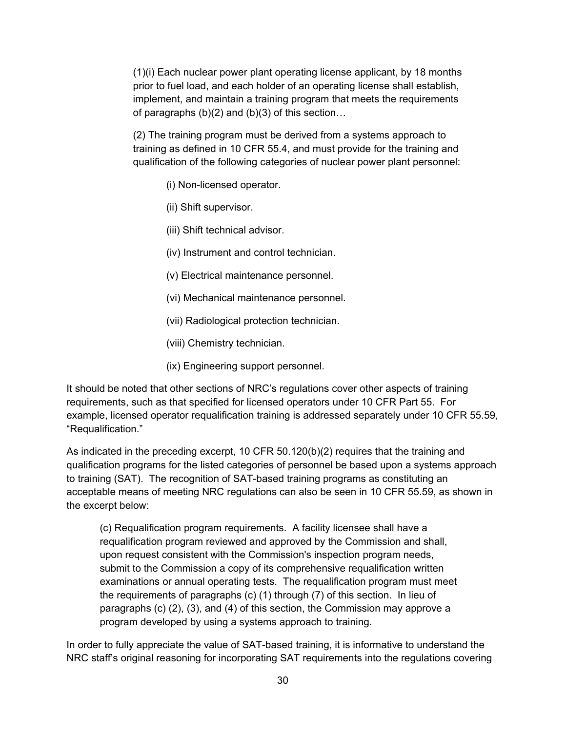(1)(i) Each nuclear power plant operating license applicant, by 18 months prior to fuel load, and each holder of an operating license shall establish, implement, and maintain a training program that meets the requirements of paragraphs  $(b)(2)$  and  $(b)(3)$  of this section...

(2) The training program must be derived from a systems approach to training as defined in 10 CFR 55.4, and must provide for the training and qualification of the following categories of nuclear power plant personnel:

- (i) Non-licensed operator.
- (ii) Shift supervisor.
- (iii) Shift technical advisor.
- (iv) Instrument and control technician.
- (v) Electrical maintenance personnel.
- (vi) Mechanical maintenance personnel.
- (vii) Radiological protection technician.
- (viii) Chemistry technician.
- (ix) Engineering support personnel.

It should be noted that other sections of NRC's regulations cover other aspects of training requirements, such as that specified for licensed operators under 10 CFR Part 55. For example, licensed operator requalification training is addressed separately under 10 CFR 55.59, "Requalification."

As indicated in the preceding excerpt, 10 CFR 50.120(b)(2) requires that the training and qualification programs for the listed categories of personnel be based upon a systems approach to training (SAT). The recognition of SAT-based training programs as constituting an acceptable means of meeting NRC regulations can also be seen in 10 CFR 55.59, as shown in the excerpt below:

(c) Requalification program requirements. A facility licensee shall have a requalification program reviewed and approved by the Commission and shall, upon request consistent with the Commission's inspection program needs, submit to the Commission a copy of its comprehensive requalification written examinations or annual operating tests. The requalification program must meet the requirements of paragraphs (c) (1) through (7) of this section. In lieu of paragraphs (c) (2), (3), and (4) of this section, the Commission may approve a program developed by using a systems approach to training.

In order to fully appreciate the value of SAT-based training, it is informative to understand the NRC staff's original reasoning for incorporating SAT requirements into the regulations covering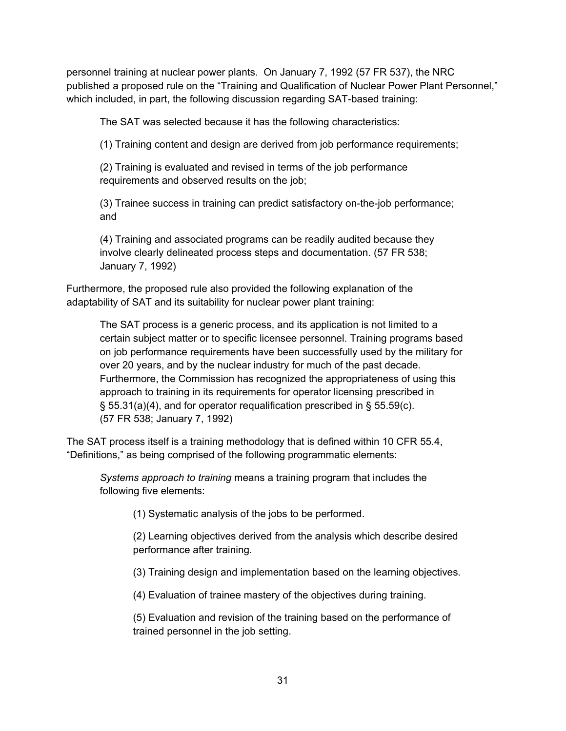personnel training at nuclear power plants. On January 7, 1992 (57 FR 537), the NRC published a proposed rule on the "Training and Qualification of Nuclear Power Plant Personnel," which included, in part, the following discussion regarding SAT-based training:

The SAT was selected because it has the following characteristics:

(1) Training content and design are derived from job performance requirements;

(2) Training is evaluated and revised in terms of the job performance requirements and observed results on the job;

(3) Trainee success in training can predict satisfactory on-the-job performance; and

(4) Training and associated programs can be readily audited because they involve clearly delineated process steps and documentation. (57 FR 538; January 7, 1992)

Furthermore, the proposed rule also provided the following explanation of the adaptability of SAT and its suitability for nuclear power plant training:

The SAT process is a generic process, and its application is not limited to a certain subject matter or to specific licensee personnel. Training programs based on job performance requirements have been successfully used by the military for over 20 years, and by the nuclear industry for much of the past decade. Furthermore, the Commission has recognized the appropriateness of using this approach to training in its requirements for operator licensing prescribed in § 55.31(a)(4), and for operator requalification prescribed in § 55.59(c). (57 FR 538; January 7, 1992)

The SAT process itself is a training methodology that is defined within 10 CFR 55.4, "Definitions," as being comprised of the following programmatic elements:

*Systems approach to training* means a training program that includes the following five elements:

(1) Systematic analysis of the jobs to be performed.

(2) Learning objectives derived from the analysis which describe desired performance after training.

(3) Training design and implementation based on the learning objectives.

(4) Evaluation of trainee mastery of the objectives during training.

(5) Evaluation and revision of the training based on the performance of trained personnel in the job setting.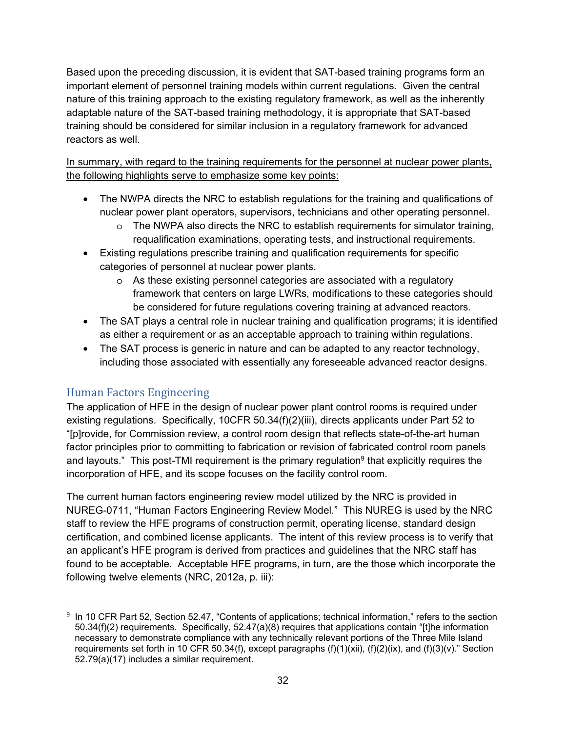Based upon the preceding discussion, it is evident that SAT-based training programs form an important element of personnel training models within current regulations. Given the central nature of this training approach to the existing regulatory framework, as well as the inherently adaptable nature of the SAT-based training methodology, it is appropriate that SAT-based training should be considered for similar inclusion in a regulatory framework for advanced reactors as well.

In summary, with regard to the training requirements for the personnel at nuclear power plants, the following highlights serve to emphasize some key points:

- The NWPA directs the NRC to establish regulations for the training and qualifications of nuclear power plant operators, supervisors, technicians and other operating personnel.
	- $\circ$  The NWPA also directs the NRC to establish requirements for simulator training, requalification examinations, operating tests, and instructional requirements.
- Existing regulations prescribe training and qualification requirements for specific categories of personnel at nuclear power plants.
	- o As these existing personnel categories are associated with a regulatory framework that centers on large LWRs, modifications to these categories should be considered for future regulations covering training at advanced reactors.
- The SAT plays a central role in nuclear training and qualification programs; it is identified as either a requirement or as an acceptable approach to training within regulations.
- The SAT process is generic in nature and can be adapted to any reactor technology, including those associated with essentially any foreseeable advanced reactor designs.

### Human Factors Engineering

The application of HFE in the design of nuclear power plant control rooms is required under existing regulations. Specifically, 10CFR 50.34(f)(2)(iii), directs applicants under Part 52 to "[p]rovide, for Commission review, a control room design that reflects state-of-the-art human factor principles prior to committing to fabrication or revision of fabricated control room panels and layouts." This post-TMI requirement is the primary regulation<sup>9</sup> that explicitly requires the incorporation of HFE, and its scope focuses on the facility control room.

The current human factors engineering review model utilized by the NRC is provided in NUREG-0711, "Human Factors Engineering Review Model." This NUREG is used by the NRC staff to review the HFE programs of construction permit, operating license, standard design certification, and combined license applicants. The intent of this review process is to verify that an applicant's HFE program is derived from practices and guidelines that the NRC staff has found to be acceptable. Acceptable HFE programs, in turn, are the those which incorporate the following twelve elements (NRC, 2012a, p. iii):

 <sup>9</sup> In 10 CFR Part 52, Section 52.47, "Contents of applications; technical information," refers to the section 50.34(f)(2) requirements. Specifically, 52.47(a)(8) requires that applications contain "[t]he information necessary to demonstrate compliance with any technically relevant portions of the Three Mile Island requirements set forth in 10 CFR 50.34(f), except paragraphs (f)(1)(xii), (f)(2)(ix), and (f)(3)(v)." Section 52.79(a)(17) includes a similar requirement.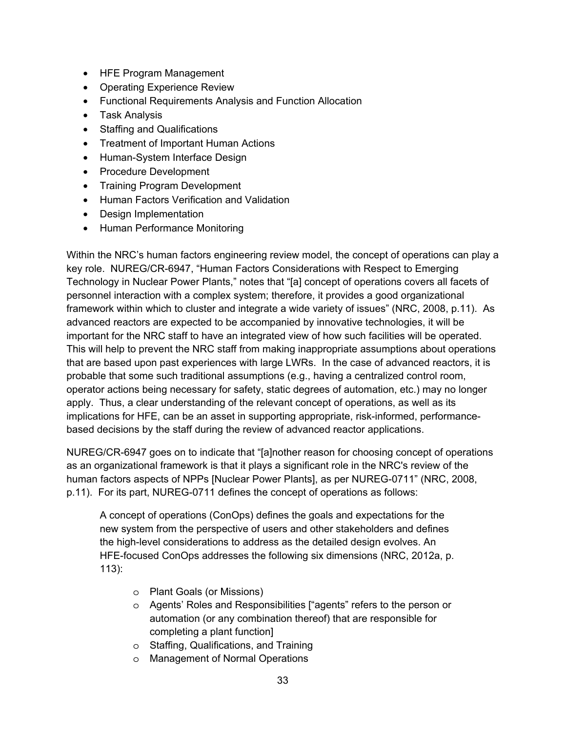- HFE Program Management
- Operating Experience Review
- Functional Requirements Analysis and Function Allocation
- Task Analysis
- Staffing and Qualifications
- Treatment of Important Human Actions
- Human-System Interface Design
- Procedure Development
- Training Program Development
- Human Factors Verification and Validation
- Design Implementation
- Human Performance Monitoring

Within the NRC's human factors engineering review model, the concept of operations can play a key role. NUREG/CR-6947, "Human Factors Considerations with Respect to Emerging Technology in Nuclear Power Plants," notes that "[a] concept of operations covers all facets of personnel interaction with a complex system; therefore, it provides a good organizational framework within which to cluster and integrate a wide variety of issues" (NRC, 2008, p.11). As advanced reactors are expected to be accompanied by innovative technologies, it will be important for the NRC staff to have an integrated view of how such facilities will be operated. This will help to prevent the NRC staff from making inappropriate assumptions about operations that are based upon past experiences with large LWRs. In the case of advanced reactors, it is probable that some such traditional assumptions (e.g., having a centralized control room, operator actions being necessary for safety, static degrees of automation, etc.) may no longer apply. Thus, a clear understanding of the relevant concept of operations, as well as its implications for HFE, can be an asset in supporting appropriate, risk-informed, performancebased decisions by the staff during the review of advanced reactor applications.

NUREG/CR-6947 goes on to indicate that "[a]nother reason for choosing concept of operations as an organizational framework is that it plays a significant role in the NRC's review of the human factors aspects of NPPs [Nuclear Power Plants], as per NUREG-0711" (NRC, 2008, p.11). For its part, NUREG-0711 defines the concept of operations as follows:

A concept of operations (ConOps) defines the goals and expectations for the new system from the perspective of users and other stakeholders and defines the high-level considerations to address as the detailed design evolves. An HFE-focused ConOps addresses the following six dimensions (NRC, 2012a, p. 113):

- o Plant Goals (or Missions)
- o Agents' Roles and Responsibilities ["agents" refers to the person or automation (or any combination thereof) that are responsible for completing a plant function]
- o Staffing, Qualifications, and Training
- o Management of Normal Operations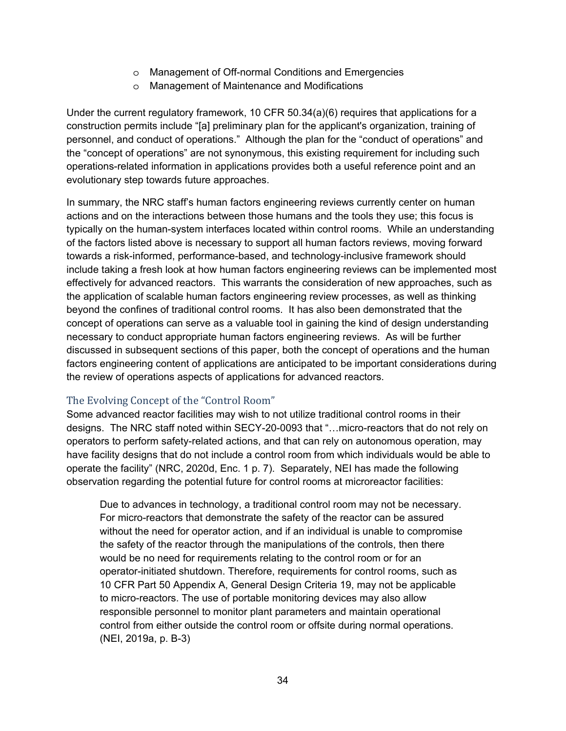- o Management of Off-normal Conditions and Emergencies
- o Management of Maintenance and Modifications

Under the current regulatory framework, 10 CFR 50.34(a)(6) requires that applications for a construction permits include "[a] preliminary plan for the applicant's organization, training of personnel, and conduct of operations." Although the plan for the "conduct of operations" and the "concept of operations" are not synonymous, this existing requirement for including such operations-related information in applications provides both a useful reference point and an evolutionary step towards future approaches.

In summary, the NRC staff's human factors engineering reviews currently center on human actions and on the interactions between those humans and the tools they use; this focus is typically on the human-system interfaces located within control rooms. While an understanding of the factors listed above is necessary to support all human factors reviews, moving forward towards a risk-informed, performance-based, and technology-inclusive framework should include taking a fresh look at how human factors engineering reviews can be implemented most effectively for advanced reactors. This warrants the consideration of new approaches, such as the application of scalable human factors engineering review processes, as well as thinking beyond the confines of traditional control rooms. It has also been demonstrated that the concept of operations can serve as a valuable tool in gaining the kind of design understanding necessary to conduct appropriate human factors engineering reviews. As will be further discussed in subsequent sections of this paper, both the concept of operations and the human factors engineering content of applications are anticipated to be important considerations during the review of operations aspects of applications for advanced reactors.

#### The Evolving Concept of the "Control Room"

Some advanced reactor facilities may wish to not utilize traditional control rooms in their designs. The NRC staff noted within SECY-20-0093 that "…micro-reactors that do not rely on operators to perform safety-related actions, and that can rely on autonomous operation, may have facility designs that do not include a control room from which individuals would be able to operate the facility" (NRC, 2020d, Enc. 1 p. 7). Separately, NEI has made the following observation regarding the potential future for control rooms at microreactor facilities:

Due to advances in technology, a traditional control room may not be necessary. For micro-reactors that demonstrate the safety of the reactor can be assured without the need for operator action, and if an individual is unable to compromise the safety of the reactor through the manipulations of the controls, then there would be no need for requirements relating to the control room or for an operator-initiated shutdown. Therefore, requirements for control rooms, such as 10 CFR Part 50 Appendix A, General Design Criteria 19, may not be applicable to micro-reactors. The use of portable monitoring devices may also allow responsible personnel to monitor plant parameters and maintain operational control from either outside the control room or offsite during normal operations. (NEI, 2019a, p. B-3)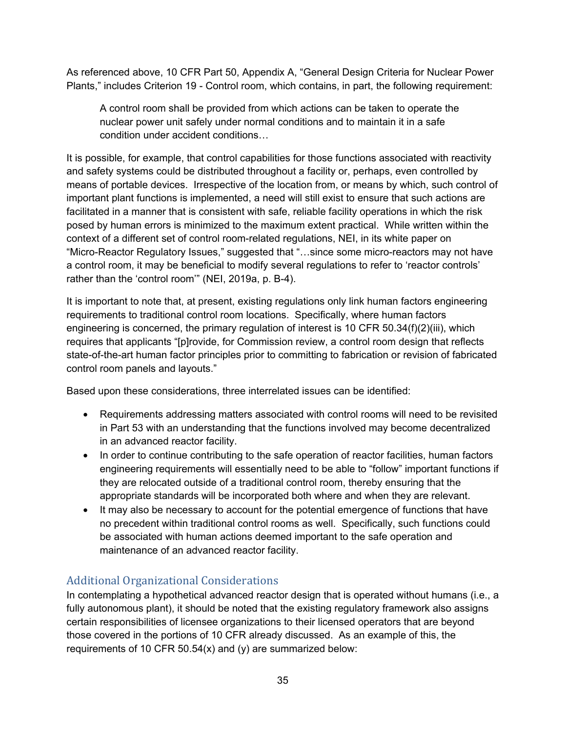As referenced above, 10 CFR Part 50, Appendix A, "General Design Criteria for Nuclear Power Plants," includes Criterion 19 - Control room, which contains, in part, the following requirement:

A control room shall be provided from which actions can be taken to operate the nuclear power unit safely under normal conditions and to maintain it in a safe condition under accident conditions…

It is possible, for example, that control capabilities for those functions associated with reactivity and safety systems could be distributed throughout a facility or, perhaps, even controlled by means of portable devices. Irrespective of the location from, or means by which, such control of important plant functions is implemented, a need will still exist to ensure that such actions are facilitated in a manner that is consistent with safe, reliable facility operations in which the risk posed by human errors is minimized to the maximum extent practical. While written within the context of a different set of control room-related regulations, NEI, in its white paper on "Micro-Reactor Regulatory Issues," suggested that "…since some micro-reactors may not have a control room, it may be beneficial to modify several regulations to refer to 'reactor controls' rather than the 'control room'" (NEI, 2019a, p. B-4).

It is important to note that, at present, existing regulations only link human factors engineering requirements to traditional control room locations. Specifically, where human factors engineering is concerned, the primary regulation of interest is 10 CFR 50.34(f)(2)(iii), which requires that applicants "[p]rovide, for Commission review, a control room design that reflects state-of-the-art human factor principles prior to committing to fabrication or revision of fabricated control room panels and layouts."

Based upon these considerations, three interrelated issues can be identified:

- Requirements addressing matters associated with control rooms will need to be revisited in Part 53 with an understanding that the functions involved may become decentralized in an advanced reactor facility.
- In order to continue contributing to the safe operation of reactor facilities, human factors engineering requirements will essentially need to be able to "follow" important functions if they are relocated outside of a traditional control room, thereby ensuring that the appropriate standards will be incorporated both where and when they are relevant.
- It may also be necessary to account for the potential emergence of functions that have no precedent within traditional control rooms as well. Specifically, such functions could be associated with human actions deemed important to the safe operation and maintenance of an advanced reactor facility.

### Additional Organizational Considerations

In contemplating a hypothetical advanced reactor design that is operated without humans (i.e., a fully autonomous plant), it should be noted that the existing regulatory framework also assigns certain responsibilities of licensee organizations to their licensed operators that are beyond those covered in the portions of 10 CFR already discussed. As an example of this, the requirements of 10 CFR 50.54(x) and (y) are summarized below: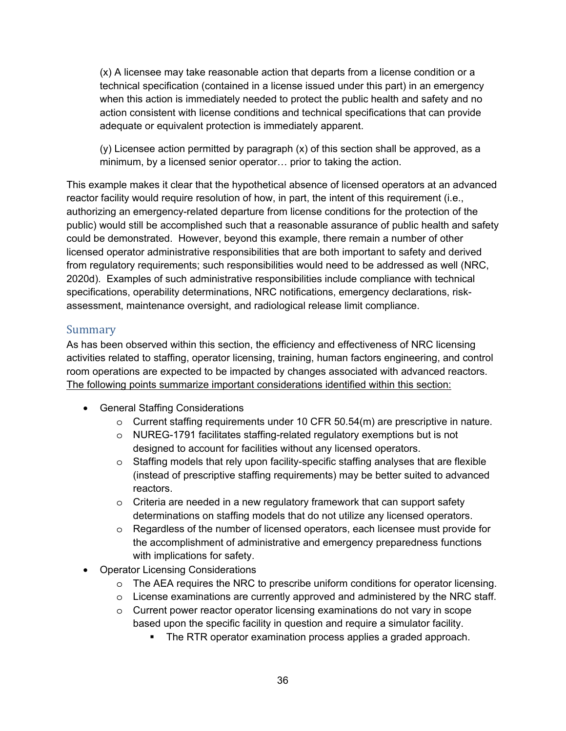(x) A licensee may take reasonable action that departs from a license condition or a technical specification (contained in a license issued under this part) in an emergency when this action is immediately needed to protect the public health and safety and no action consistent with license conditions and technical specifications that can provide adequate or equivalent protection is immediately apparent.

 $(y)$  Licensee action permitted by paragraph  $(x)$  of this section shall be approved, as a minimum, by a licensed senior operator… prior to taking the action.

This example makes it clear that the hypothetical absence of licensed operators at an advanced reactor facility would require resolution of how, in part, the intent of this requirement (i.e., authorizing an emergency-related departure from license conditions for the protection of the public) would still be accomplished such that a reasonable assurance of public health and safety could be demonstrated. However, beyond this example, there remain a number of other licensed operator administrative responsibilities that are both important to safety and derived from regulatory requirements; such responsibilities would need to be addressed as well (NRC, 2020d). Examples of such administrative responsibilities include compliance with technical specifications, operability determinations, NRC notifications, emergency declarations, riskassessment, maintenance oversight, and radiological release limit compliance.

#### Summary

As has been observed within this section, the efficiency and effectiveness of NRC licensing activities related to staffing, operator licensing, training, human factors engineering, and control room operations are expected to be impacted by changes associated with advanced reactors. The following points summarize important considerations identified within this section:

- General Staffing Considerations
	- o Current staffing requirements under 10 CFR 50.54(m) are prescriptive in nature.
	- o NUREG-1791 facilitates staffing-related regulatory exemptions but is not designed to account for facilities without any licensed operators.
	- o Staffing models that rely upon facility-specific staffing analyses that are flexible (instead of prescriptive staffing requirements) may be better suited to advanced reactors.
	- o Criteria are needed in a new regulatory framework that can support safety determinations on staffing models that do not utilize any licensed operators.
	- o Regardless of the number of licensed operators, each licensee must provide for the accomplishment of administrative and emergency preparedness functions with implications for safety.
- Operator Licensing Considerations
	- o The AEA requires the NRC to prescribe uniform conditions for operator licensing.
	- $\circ$  License examinations are currently approved and administered by the NRC staff.
	- $\circ$  Current power reactor operator licensing examinations do not vary in scope based upon the specific facility in question and require a simulator facility.
		- The RTR operator examination process applies a graded approach.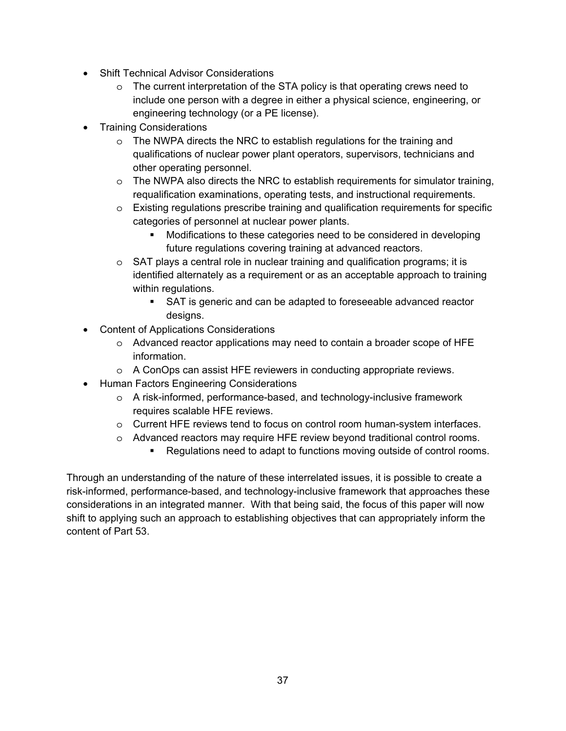- Shift Technical Advisor Considerations
	- $\circ$  The current interpretation of the STA policy is that operating crews need to include one person with a degree in either a physical science, engineering, or engineering technology (or a PE license).
- Training Considerations
	- $\circ$  The NWPA directs the NRC to establish regulations for the training and qualifications of nuclear power plant operators, supervisors, technicians and other operating personnel.
	- $\circ$  The NWPA also directs the NRC to establish requirements for simulator training, requalification examinations, operating tests, and instructional requirements.
	- o Existing regulations prescribe training and qualification requirements for specific categories of personnel at nuclear power plants.
		- Modifications to these categories need to be considered in developing future regulations covering training at advanced reactors.
	- $\circ$  SAT plays a central role in nuclear training and qualification programs; it is identified alternately as a requirement or as an acceptable approach to training within regulations.
		- SAT is generic and can be adapted to foreseeable advanced reactor designs.
- Content of Applications Considerations
	- o Advanced reactor applications may need to contain a broader scope of HFE information.
	- o A ConOps can assist HFE reviewers in conducting appropriate reviews.
- Human Factors Engineering Considerations
	- o A risk-informed, performance-based, and technology-inclusive framework requires scalable HFE reviews.
	- o Current HFE reviews tend to focus on control room human-system interfaces.
	- o Advanced reactors may require HFE review beyond traditional control rooms.
		- **Regulations need to adapt to functions moving outside of control rooms.**

Through an understanding of the nature of these interrelated issues, it is possible to create a risk-informed, performance-based, and technology-inclusive framework that approaches these considerations in an integrated manner. With that being said, the focus of this paper will now shift to applying such an approach to establishing objectives that can appropriately inform the content of Part 53.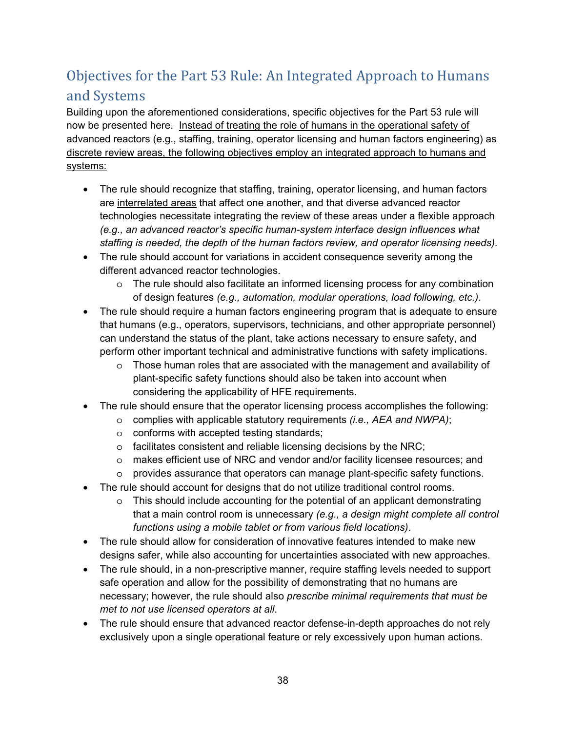# Objectives for the Part 53 Rule: An Integrated Approach to Humans and Systems

Building upon the aforementioned considerations, specific objectives for the Part 53 rule will now be presented here. Instead of treating the role of humans in the operational safety of advanced reactors (e.g., staffing, training, operator licensing and human factors engineering) as discrete review areas, the following objectives employ an integrated approach to humans and systems:

- The rule should recognize that staffing, training, operator licensing, and human factors are interrelated areas that affect one another, and that diverse advanced reactor technologies necessitate integrating the review of these areas under a flexible approach *(e.g., an advanced reactor's specific human-system interface design influences what staffing is needed, the depth of the human factors review, and operator licensing needs)*.
- The rule should account for variations in accident consequence severity among the different advanced reactor technologies.
	- o The rule should also facilitate an informed licensing process for any combination of design features *(e.g., automation, modular operations, load following, etc.)*.
- The rule should require a human factors engineering program that is adequate to ensure that humans (e.g., operators, supervisors, technicians, and other appropriate personnel) can understand the status of the plant, take actions necessary to ensure safety, and perform other important technical and administrative functions with safety implications.
	- $\circ$  Those human roles that are associated with the management and availability of plant-specific safety functions should also be taken into account when considering the applicability of HFE requirements.
- The rule should ensure that the operator licensing process accomplishes the following:
	- o complies with applicable statutory requirements *(i.e., AEA and NWPA)*;
	- o conforms with accepted testing standards;
	- o facilitates consistent and reliable licensing decisions by the NRC;
	- o makes efficient use of NRC and vendor and/or facility licensee resources; and
	- $\circ$  provides assurance that operators can manage plant-specific safety functions.
- The rule should account for designs that do not utilize traditional control rooms.
	- o This should include accounting for the potential of an applicant demonstrating that a main control room is unnecessary *(e.g., a design might complete all control functions using a mobile tablet or from various field locations)*.
- The rule should allow for consideration of innovative features intended to make new designs safer, while also accounting for uncertainties associated with new approaches.
- The rule should, in a non-prescriptive manner, require staffing levels needed to support safe operation and allow for the possibility of demonstrating that no humans are necessary; however, the rule should also *prescribe minimal requirements that must be met to not use licensed operators at all*.
- The rule should ensure that advanced reactor defense-in-depth approaches do not rely exclusively upon a single operational feature or rely excessively upon human actions.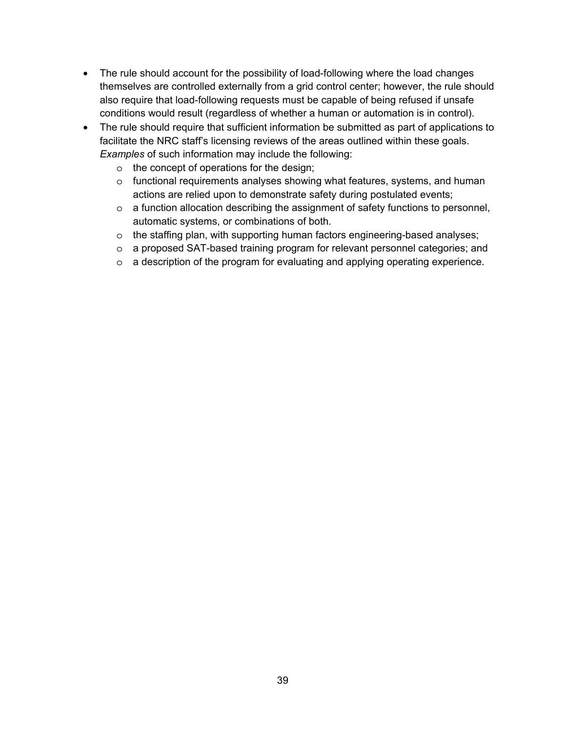- The rule should account for the possibility of load-following where the load changes themselves are controlled externally from a grid control center; however, the rule should also require that load-following requests must be capable of being refused if unsafe conditions would result (regardless of whether a human or automation is in control).
- The rule should require that sufficient information be submitted as part of applications to facilitate the NRC staff's licensing reviews of the areas outlined within these goals. *Examples* of such information may include the following:
	- o the concept of operations for the design;
	- o functional requirements analyses showing what features, systems, and human actions are relied upon to demonstrate safety during postulated events;
	- o a function allocation describing the assignment of safety functions to personnel, automatic systems, or combinations of both.
	- $\circ$  the staffing plan, with supporting human factors engineering-based analyses;
	- o a proposed SAT-based training program for relevant personnel categories; and
	- o a description of the program for evaluating and applying operating experience.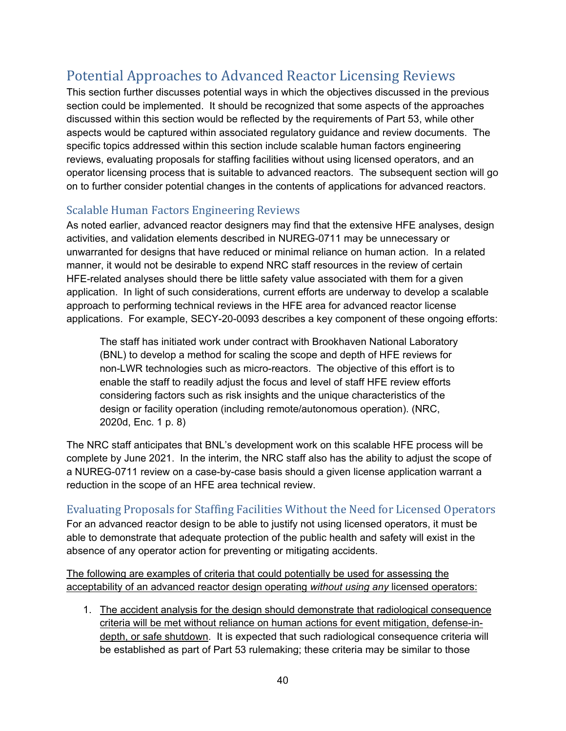# Potential Approaches to Advanced Reactor Licensing Reviews

This section further discusses potential ways in which the objectives discussed in the previous section could be implemented. It should be recognized that some aspects of the approaches discussed within this section would be reflected by the requirements of Part 53, while other aspects would be captured within associated regulatory guidance and review documents. The specific topics addressed within this section include scalable human factors engineering reviews, evaluating proposals for staffing facilities without using licensed operators, and an operator licensing process that is suitable to advanced reactors. The subsequent section will go on to further consider potential changes in the contents of applications for advanced reactors.

### Scalable Human Factors Engineering Reviews

As noted earlier, advanced reactor designers may find that the extensive HFE analyses, design activities, and validation elements described in NUREG-0711 may be unnecessary or unwarranted for designs that have reduced or minimal reliance on human action. In a related manner, it would not be desirable to expend NRC staff resources in the review of certain HFE-related analyses should there be little safety value associated with them for a given application. In light of such considerations, current efforts are underway to develop a scalable approach to performing technical reviews in the HFE area for advanced reactor license applications. For example, SECY-20-0093 describes a key component of these ongoing efforts:

The staff has initiated work under contract with Brookhaven National Laboratory (BNL) to develop a method for scaling the scope and depth of HFE reviews for non-LWR technologies such as micro-reactors. The objective of this effort is to enable the staff to readily adjust the focus and level of staff HFE review efforts considering factors such as risk insights and the unique characteristics of the design or facility operation (including remote/autonomous operation). (NRC, 2020d, Enc. 1 p. 8)

The NRC staff anticipates that BNL's development work on this scalable HFE process will be complete by June 2021. In the interim, the NRC staff also has the ability to adjust the scope of a NUREG-0711 review on a case-by-case basis should a given license application warrant a reduction in the scope of an HFE area technical review.

#### Evaluating Proposals for Staffing Facilities Without the Need for Licensed Operators For an advanced reactor design to be able to justify not using licensed operators, it must be able to demonstrate that adequate protection of the public health and safety will exist in the absence of any operator action for preventing or mitigating accidents.

The following are examples of criteria that could potentially be used for assessing the acceptability of an advanced reactor design operating *without using any* licensed operators:

1. The accident analysis for the design should demonstrate that radiological consequence criteria will be met without reliance on human actions for event mitigation, defense-indepth, or safe shutdown. It is expected that such radiological consequence criteria will be established as part of Part 53 rulemaking; these criteria may be similar to those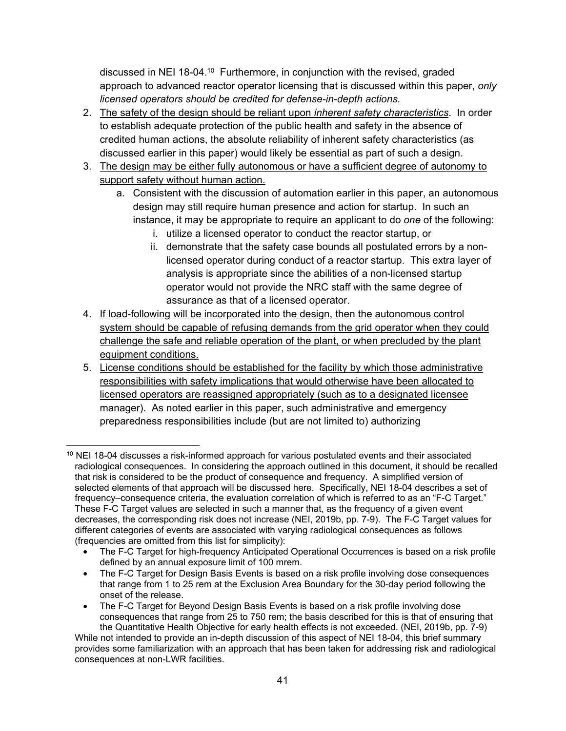discussed in NEI 18-04.10 Furthermore, in conjunction with the revised, graded approach to advanced reactor operator licensing that is discussed within this paper, *only licensed operators should be credited for defense-in-depth actions.* 

- 2. The safety of the design should be reliant upon *inherent safety characteristics*. In order to establish adequate protection of the public health and safety in the absence of credited human actions, the absolute reliability of inherent safety characteristics (as discussed earlier in this paper) would likely be essential as part of such a design.
- 3. The design may be either fully autonomous or have a sufficient degree of autonomy to support safety without human action.
	- a. Consistent with the discussion of automation earlier in this paper, an autonomous design may still require human presence and action for startup. In such an instance, it may be appropriate to require an applicant to do *one* of the following:
		- i. utilize a licensed operator to conduct the reactor startup, or
		- ii. demonstrate that the safety case bounds all postulated errors by a nonlicensed operator during conduct of a reactor startup. This extra layer of analysis is appropriate since the abilities of a non-licensed startup operator would not provide the NRC staff with the same degree of assurance as that of a licensed operator.
- 4. If load-following will be incorporated into the design, then the autonomous control system should be capable of refusing demands from the grid operator when they could challenge the safe and reliable operation of the plant, or when precluded by the plant equipment conditions.
- 5. License conditions should be established for the facility by which those administrative responsibilities with safety implications that would otherwise have been allocated to licensed operators are reassigned appropriately (such as to a designated licensee manager). As noted earlier in this paper, such administrative and emergency preparedness responsibilities include (but are not limited to) authorizing

<sup>-</sup><sup>10</sup> NEI 18-04 discusses a risk-informed approach for various postulated events and their associated radiological consequences. In considering the approach outlined in this document, it should be recalled that risk is considered to be the product of consequence and frequency. A simplified version of selected elements of that approach will be discussed here. Specifically, NEI 18-04 describes a set of frequency–consequence criteria, the evaluation correlation of which is referred to as an "F-C Target." These F-C Target values are selected in such a manner that, as the frequency of a given event decreases, the corresponding risk does not increase (NEI, 2019b, pp. 7-9). The F-C Target values for different categories of events are associated with varying radiological consequences as follows (frequencies are omitted from this list for simplicity):

<sup>•</sup> The F-C Target for high-frequency Anticipated Operational Occurrences is based on a risk profile defined by an annual exposure limit of 100 mrem.

<sup>•</sup> The F-C Target for Design Basis Events is based on a risk profile involving dose consequences that range from 1 to 25 rem at the Exclusion Area Boundary for the 30-day period following the onset of the release.

<sup>•</sup> The F-C Target for Beyond Design Basis Events is based on a risk profile involving dose consequences that range from 25 to 750 rem; the basis described for this is that of ensuring that the Quantitative Health Objective for early health effects is not exceeded. (NEI, 2019b, pp. 7-9)

While not intended to provide an in-depth discussion of this aspect of NEI 18-04, this brief summary provides some familiarization with an approach that has been taken for addressing risk and radiological consequences at non-LWR facilities.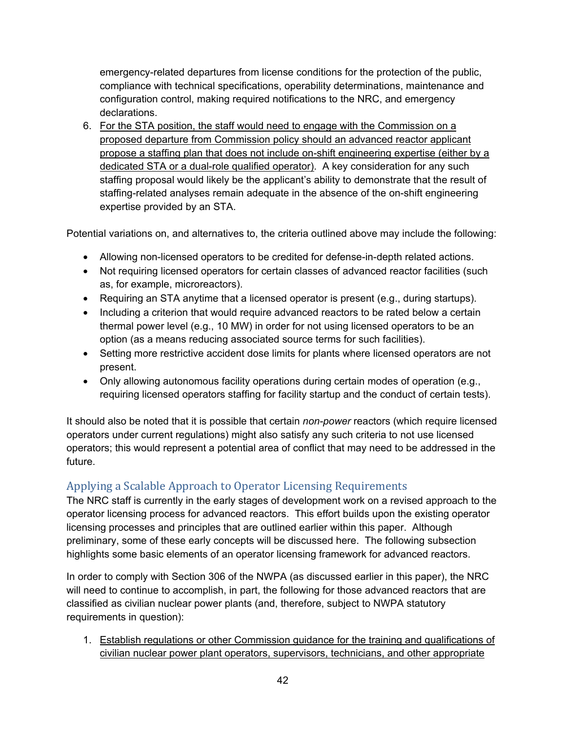emergency-related departures from license conditions for the protection of the public, compliance with technical specifications, operability determinations, maintenance and configuration control, making required notifications to the NRC, and emergency declarations.

6. For the STA position, the staff would need to engage with the Commission on a proposed departure from Commission policy should an advanced reactor applicant propose a staffing plan that does not include on-shift engineering expertise (either by a dedicated STA or a dual-role qualified operator). A key consideration for any such staffing proposal would likely be the applicant's ability to demonstrate that the result of staffing-related analyses remain adequate in the absence of the on-shift engineering expertise provided by an STA.

Potential variations on, and alternatives to, the criteria outlined above may include the following:

- Allowing non-licensed operators to be credited for defense-in-depth related actions.
- Not requiring licensed operators for certain classes of advanced reactor facilities (such as, for example, microreactors).
- Requiring an STA anytime that a licensed operator is present (e.g., during startups).
- Including a criterion that would require advanced reactors to be rated below a certain thermal power level (e.g., 10 MW) in order for not using licensed operators to be an option (as a means reducing associated source terms for such facilities).
- Setting more restrictive accident dose limits for plants where licensed operators are not present.
- Only allowing autonomous facility operations during certain modes of operation (e.g., requiring licensed operators staffing for facility startup and the conduct of certain tests).

It should also be noted that it is possible that certain *non-power* reactors (which require licensed operators under current regulations) might also satisfy any such criteria to not use licensed operators; this would represent a potential area of conflict that may need to be addressed in the future.

### Applying a Scalable Approach to Operator Licensing Requirements

The NRC staff is currently in the early stages of development work on a revised approach to the operator licensing process for advanced reactors. This effort builds upon the existing operator licensing processes and principles that are outlined earlier within this paper. Although preliminary, some of these early concepts will be discussed here. The following subsection highlights some basic elements of an operator licensing framework for advanced reactors.

In order to comply with Section 306 of the NWPA (as discussed earlier in this paper), the NRC will need to continue to accomplish, in part, the following for those advanced reactors that are classified as civilian nuclear power plants (and, therefore, subject to NWPA statutory requirements in question):

1. Establish regulations or other Commission guidance for the training and qualifications of civilian nuclear power plant operators, supervisors, technicians, and other appropriate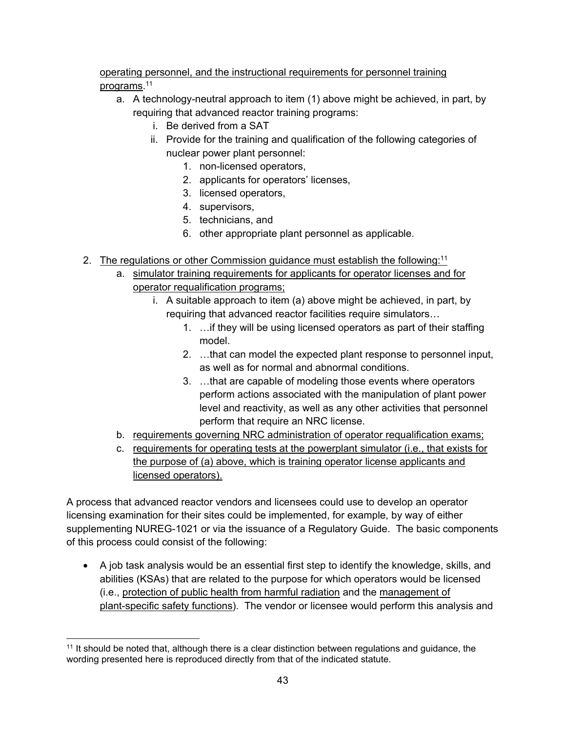#### operating personnel, and the instructional requirements for personnel training programs.11

- a. A technology-neutral approach to item (1) above might be achieved, in part, by requiring that advanced reactor training programs:
	- i. Be derived from a SAT
	- ii. Provide for the training and qualification of the following categories of nuclear power plant personnel:
		- 1. non-licensed operators,
		- 2. applicants for operators' licenses,
		- 3. licensed operators,
		- 4. supervisors,
		- 5. technicians, and
		- 6. other appropriate plant personnel as applicable.
- 2. The regulations or other Commission guidance must establish the following:<sup>11</sup>
	- a. simulator training requirements for applicants for operator licenses and for operator requalification programs;
		- i. A suitable approach to item (a) above might be achieved, in part, by requiring that advanced reactor facilities require simulators…
			- 1. …if they will be using licensed operators as part of their staffing model.
			- 2. …that can model the expected plant response to personnel input, as well as for normal and abnormal conditions.
			- 3. …that are capable of modeling those events where operators perform actions associated with the manipulation of plant power level and reactivity, as well as any other activities that personnel perform that require an NRC license.
	- b. requirements governing NRC administration of operator requalification exams;
	- c. requirements for operating tests at the powerplant simulator (i.e., that exists for the purpose of (a) above, which is training operator license applicants and licensed operators).

A process that advanced reactor vendors and licensees could use to develop an operator licensing examination for their sites could be implemented, for example, by way of either supplementing NUREG-1021 or via the issuance of a Regulatory Guide. The basic components of this process could consist of the following:

• A job task analysis would be an essential first step to identify the knowledge, skills, and abilities (KSAs) that are related to the purpose for which operators would be licensed (i.e., protection of public health from harmful radiation and the management of plant-specific safety functions). The vendor or licensee would perform this analysis and

 <sup>11</sup> It should be noted that, although there is a clear distinction between regulations and guidance, the wording presented here is reproduced directly from that of the indicated statute.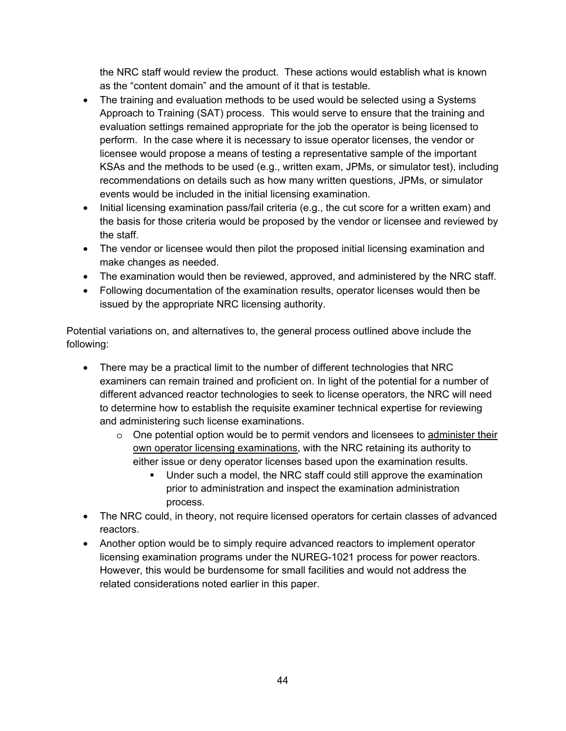the NRC staff would review the product. These actions would establish what is known as the "content domain" and the amount of it that is testable.

- The training and evaluation methods to be used would be selected using a Systems Approach to Training (SAT) process. This would serve to ensure that the training and evaluation settings remained appropriate for the job the operator is being licensed to perform. In the case where it is necessary to issue operator licenses, the vendor or licensee would propose a means of testing a representative sample of the important KSAs and the methods to be used (e.g., written exam, JPMs, or simulator test), including recommendations on details such as how many written questions, JPMs, or simulator events would be included in the initial licensing examination.
- Initial licensing examination pass/fail criteria (e.g., the cut score for a written exam) and the basis for those criteria would be proposed by the vendor or licensee and reviewed by the staff.
- The vendor or licensee would then pilot the proposed initial licensing examination and make changes as needed.
- The examination would then be reviewed, approved, and administered by the NRC staff.
- Following documentation of the examination results, operator licenses would then be issued by the appropriate NRC licensing authority.

Potential variations on, and alternatives to, the general process outlined above include the following:

- There may be a practical limit to the number of different technologies that NRC examiners can remain trained and proficient on. In light of the potential for a number of different advanced reactor technologies to seek to license operators, the NRC will need to determine how to establish the requisite examiner technical expertise for reviewing and administering such license examinations.
	- $\circ$  One potential option would be to permit vendors and licensees to administer their own operator licensing examinations, with the NRC retaining its authority to either issue or deny operator licenses based upon the examination results.
		- Under such a model, the NRC staff could still approve the examination prior to administration and inspect the examination administration process.
- The NRC could, in theory, not require licensed operators for certain classes of advanced reactors.
- Another option would be to simply require advanced reactors to implement operator licensing examination programs under the NUREG-1021 process for power reactors. However, this would be burdensome for small facilities and would not address the related considerations noted earlier in this paper.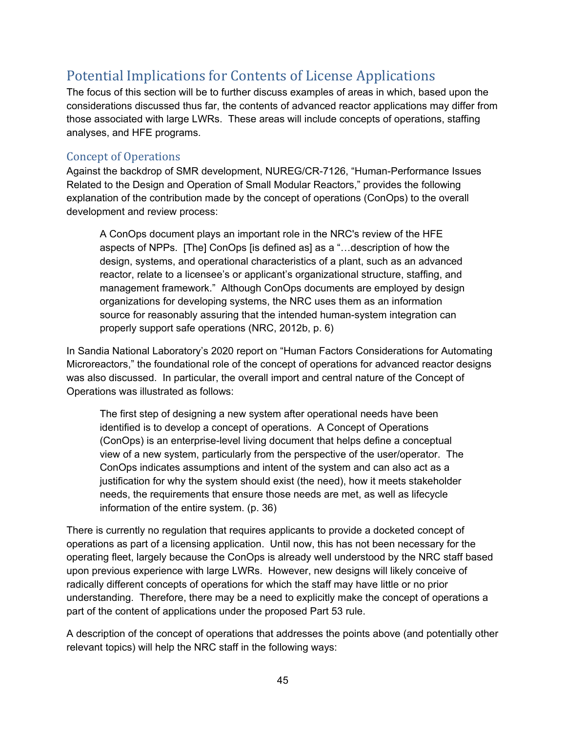## Potential Implications for Contents of License Applications

The focus of this section will be to further discuss examples of areas in which, based upon the considerations discussed thus far, the contents of advanced reactor applications may differ from those associated with large LWRs. These areas will include concepts of operations, staffing analyses, and HFE programs.

#### Concept of Operations

Against the backdrop of SMR development, NUREG/CR-7126, "Human-Performance Issues Related to the Design and Operation of Small Modular Reactors," provides the following explanation of the contribution made by the concept of operations (ConOps) to the overall development and review process:

A ConOps document plays an important role in the NRC's review of the HFE aspects of NPPs. [The] ConOps [is defined as] as a "…description of how the design, systems, and operational characteristics of a plant, such as an advanced reactor, relate to a licensee's or applicant's organizational structure, staffing, and management framework." Although ConOps documents are employed by design organizations for developing systems, the NRC uses them as an information source for reasonably assuring that the intended human-system integration can properly support safe operations (NRC, 2012b, p. 6)

In Sandia National Laboratory's 2020 report on "Human Factors Considerations for Automating Microreactors," the foundational role of the concept of operations for advanced reactor designs was also discussed. In particular, the overall import and central nature of the Concept of Operations was illustrated as follows:

The first step of designing a new system after operational needs have been identified is to develop a concept of operations. A Concept of Operations (ConOps) is an enterprise-level living document that helps define a conceptual view of a new system, particularly from the perspective of the user/operator. The ConOps indicates assumptions and intent of the system and can also act as a justification for why the system should exist (the need), how it meets stakeholder needs, the requirements that ensure those needs are met, as well as lifecycle information of the entire system. (p. 36)

There is currently no regulation that requires applicants to provide a docketed concept of operations as part of a licensing application. Until now, this has not been necessary for the operating fleet, largely because the ConOps is already well understood by the NRC staff based upon previous experience with large LWRs. However, new designs will likely conceive of radically different concepts of operations for which the staff may have little or no prior understanding. Therefore, there may be a need to explicitly make the concept of operations a part of the content of applications under the proposed Part 53 rule.

A description of the concept of operations that addresses the points above (and potentially other relevant topics) will help the NRC staff in the following ways: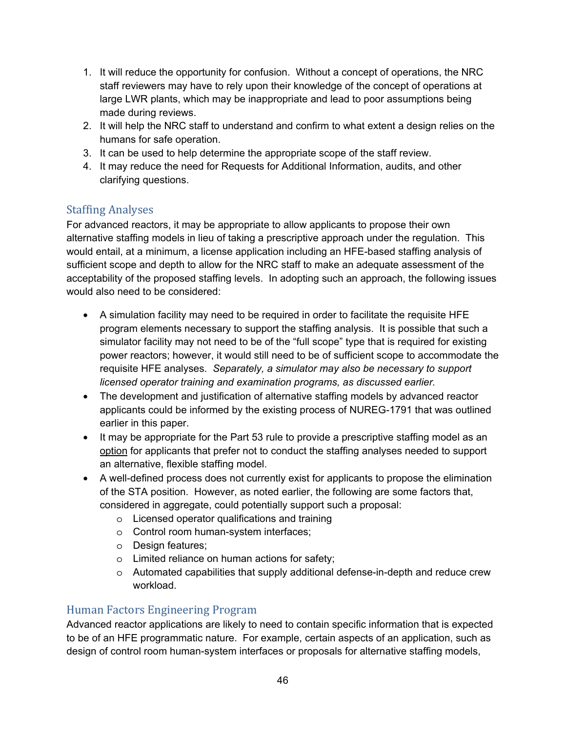- 1. It will reduce the opportunity for confusion. Without a concept of operations, the NRC staff reviewers may have to rely upon their knowledge of the concept of operations at large LWR plants, which may be inappropriate and lead to poor assumptions being made during reviews.
- 2. It will help the NRC staff to understand and confirm to what extent a design relies on the humans for safe operation.
- 3. It can be used to help determine the appropriate scope of the staff review.
- 4. It may reduce the need for Requests for Additional Information, audits, and other clarifying questions.

### Staffing Analyses

For advanced reactors, it may be appropriate to allow applicants to propose their own alternative staffing models in lieu of taking a prescriptive approach under the regulation. This would entail, at a minimum, a license application including an HFE-based staffing analysis of sufficient scope and depth to allow for the NRC staff to make an adequate assessment of the acceptability of the proposed staffing levels. In adopting such an approach, the following issues would also need to be considered:

- A simulation facility may need to be required in order to facilitate the requisite HFE program elements necessary to support the staffing analysis. It is possible that such a simulator facility may not need to be of the "full scope" type that is required for existing power reactors; however, it would still need to be of sufficient scope to accommodate the requisite HFE analyses. *Separately, a simulator may also be necessary to support licensed operator training and examination programs, as discussed earlier.*
- The development and justification of alternative staffing models by advanced reactor applicants could be informed by the existing process of NUREG-1791 that was outlined earlier in this paper.
- It may be appropriate for the Part 53 rule to provide a prescriptive staffing model as an option for applicants that prefer not to conduct the staffing analyses needed to support an alternative, flexible staffing model.
- A well-defined process does not currently exist for applicants to propose the elimination of the STA position. However, as noted earlier, the following are some factors that, considered in aggregate, could potentially support such a proposal:
	- o Licensed operator qualifications and training
	- o Control room human-system interfaces;
	- o Design features;
	- o Limited reliance on human actions for safety;
	- $\circ$  Automated capabilities that supply additional defense-in-depth and reduce crew workload.

#### Human Factors Engineering Program

Advanced reactor applications are likely to need to contain specific information that is expected to be of an HFE programmatic nature. For example, certain aspects of an application, such as design of control room human-system interfaces or proposals for alternative staffing models,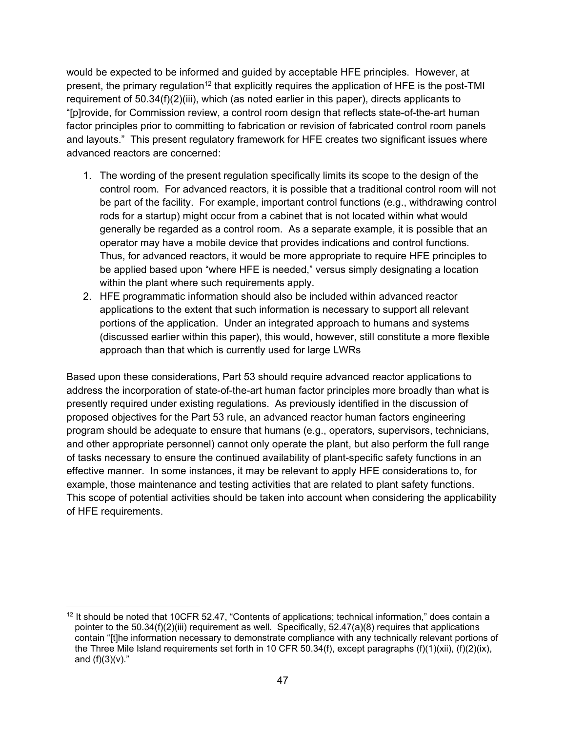would be expected to be informed and guided by acceptable HFE principles. However, at present, the primary regulation<sup>12</sup> that explicitly requires the application of HFE is the post-TMI requirement of 50.34(f)(2)(iii), which (as noted earlier in this paper), directs applicants to "[p]rovide, for Commission review, a control room design that reflects state-of-the-art human factor principles prior to committing to fabrication or revision of fabricated control room panels and layouts." This present regulatory framework for HFE creates two significant issues where advanced reactors are concerned:

- 1. The wording of the present regulation specifically limits its scope to the design of the control room. For advanced reactors, it is possible that a traditional control room will not be part of the facility. For example, important control functions (e.g., withdrawing control rods for a startup) might occur from a cabinet that is not located within what would generally be regarded as a control room. As a separate example, it is possible that an operator may have a mobile device that provides indications and control functions. Thus, for advanced reactors, it would be more appropriate to require HFE principles to be applied based upon "where HFE is needed," versus simply designating a location within the plant where such requirements apply.
- 2. HFE programmatic information should also be included within advanced reactor applications to the extent that such information is necessary to support all relevant portions of the application. Under an integrated approach to humans and systems (discussed earlier within this paper), this would, however, still constitute a more flexible approach than that which is currently used for large LWRs

Based upon these considerations, Part 53 should require advanced reactor applications to address the incorporation of state-of-the-art human factor principles more broadly than what is presently required under existing regulations. As previously identified in the discussion of proposed objectives for the Part 53 rule, an advanced reactor human factors engineering program should be adequate to ensure that humans (e.g., operators, supervisors, technicians, and other appropriate personnel) cannot only operate the plant, but also perform the full range of tasks necessary to ensure the continued availability of plant-specific safety functions in an effective manner. In some instances, it may be relevant to apply HFE considerations to, for example, those maintenance and testing activities that are related to plant safety functions. This scope of potential activities should be taken into account when considering the applicability of HFE requirements.

<sup>-</sup> $12$  It should be noted that 10CFR 52.47, "Contents of applications; technical information," does contain a pointer to the 50.34(f)(2)(iii) requirement as well. Specifically, 52.47(a)(8) requires that applications contain "[t]he information necessary to demonstrate compliance with any technically relevant portions of the Three Mile Island requirements set forth in 10 CFR 50.34(f), except paragraphs (f)(1)(xii), (f)(2)(ix), and  $(f)(3)(v)$ ."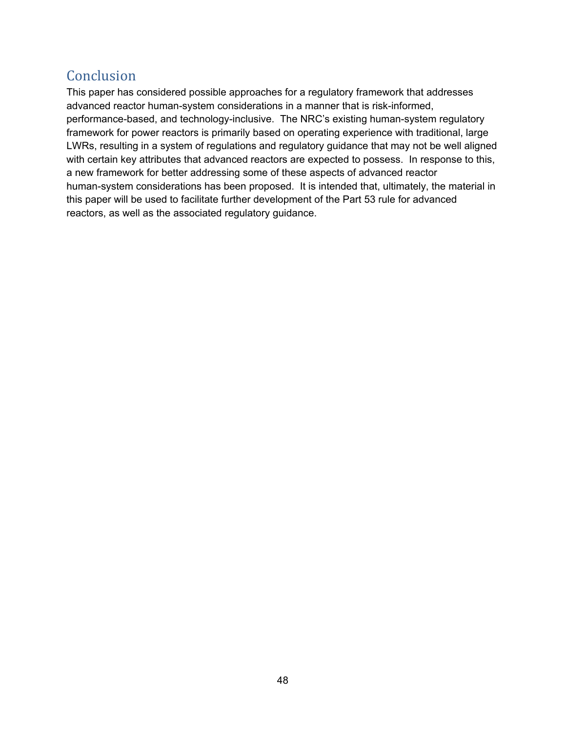## Conclusion

This paper has considered possible approaches for a regulatory framework that addresses advanced reactor human-system considerations in a manner that is risk-informed, performance-based, and technology-inclusive. The NRC's existing human-system regulatory framework for power reactors is primarily based on operating experience with traditional, large LWRs, resulting in a system of regulations and regulatory guidance that may not be well aligned with certain key attributes that advanced reactors are expected to possess. In response to this, a new framework for better addressing some of these aspects of advanced reactor human-system considerations has been proposed. It is intended that, ultimately, the material in this paper will be used to facilitate further development of the Part 53 rule for advanced reactors, as well as the associated regulatory guidance.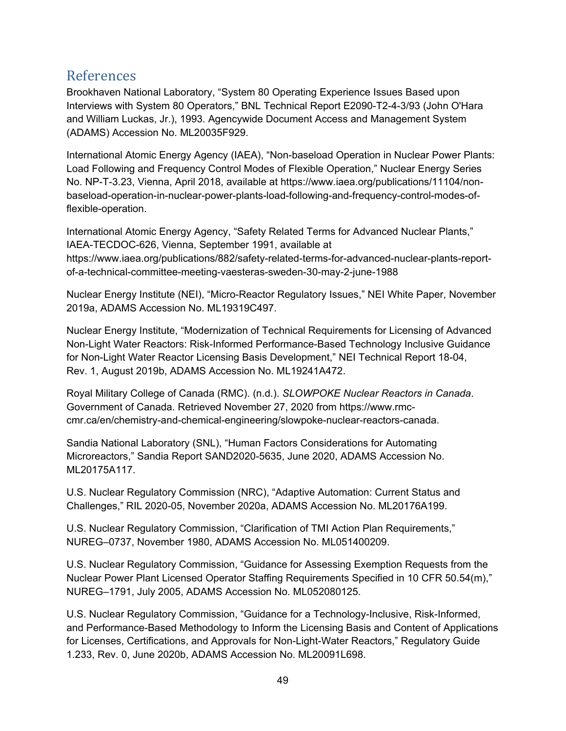## References

Brookhaven National Laboratory, "System 80 Operating Experience Issues Based upon Interviews with System 80 Operators," BNL Technical Report E2090-T2-4-3/93 (John O'Hara and William Luckas, Jr.), 1993. Agencywide Document Access and Management System (ADAMS) Accession No. ML20035F929.

International Atomic Energy Agency (IAEA), "Non-baseload Operation in Nuclear Power Plants: Load Following and Frequency Control Modes of Flexible Operation," Nuclear Energy Series No. NP-T-3.23, Vienna, April 2018, available at https://www.iaea.org/publications/11104/nonbaseload-operation-in-nuclear-power-plants-load-following-and-frequency-control-modes-offlexible-operation.

International Atomic Energy Agency, "Safety Related Terms for Advanced Nuclear Plants," IAEA-TECDOC-626, Vienna, September 1991, available at https://www.iaea.org/publications/882/safety-related-terms-for-advanced-nuclear-plants-reportof-a-technical-committee-meeting-vaesteras-sweden-30-may-2-june-1988

Nuclear Energy Institute (NEI), "Micro-Reactor Regulatory Issues," NEI White Paper, November 2019a, ADAMS Accession No. ML19319C497.

Nuclear Energy Institute, "Modernization of Technical Requirements for Licensing of Advanced Non-Light Water Reactors: Risk-Informed Performance-Based Technology Inclusive Guidance for Non-Light Water Reactor Licensing Basis Development," NEI Technical Report 18-04, Rev. 1, August 2019b, ADAMS Accession No. ML19241A472.

Royal Military College of Canada (RMC). (n.d.). *SLOWPOKE Nuclear Reactors in Canada*. Government of Canada. Retrieved November 27, 2020 from https://www.rmccmr.ca/en/chemistry-and-chemical-engineering/slowpoke-nuclear-reactors-canada.

Sandia National Laboratory (SNL), "Human Factors Considerations for Automating Microreactors," Sandia Report SAND2020-5635, June 2020, ADAMS Accession No. ML20175A117.

U.S. Nuclear Regulatory Commission (NRC), "Adaptive Automation: Current Status and Challenges," RIL 2020-05, November 2020a, ADAMS Accession No. ML20176A199.

U.S. Nuclear Regulatory Commission, "Clarification of TMI Action Plan Requirements," NUREG–0737, November 1980, ADAMS Accession No. ML051400209.

U.S. Nuclear Regulatory Commission, "Guidance for Assessing Exemption Requests from the Nuclear Power Plant Licensed Operator Staffing Requirements Specified in 10 CFR 50.54(m)," NUREG–1791, July 2005, ADAMS Accession No. ML052080125.

U.S. Nuclear Regulatory Commission, "Guidance for a Technology-Inclusive, Risk-Informed, and Performance-Based Methodology to Inform the Licensing Basis and Content of Applications for Licenses, Certifications, and Approvals for Non-Light-Water Reactors," Regulatory Guide 1.233, Rev. 0, June 2020b, ADAMS Accession No. ML20091L698.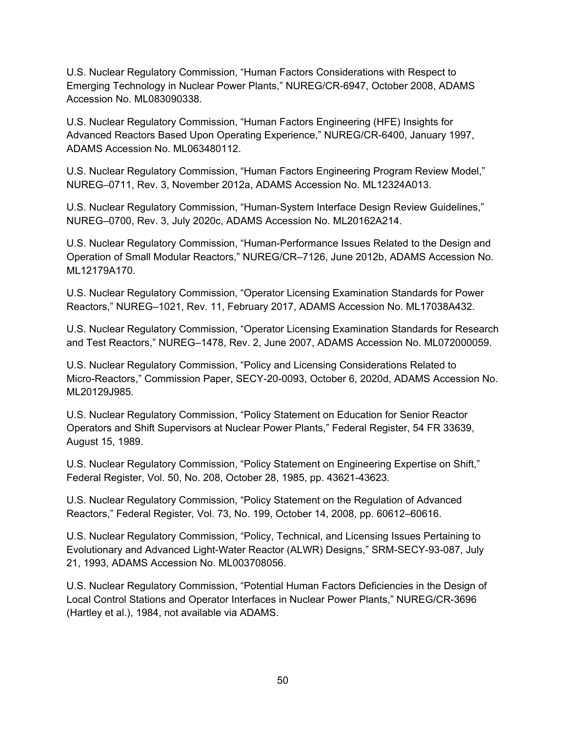U.S. Nuclear Regulatory Commission, "Human Factors Considerations with Respect to Emerging Technology in Nuclear Power Plants," NUREG/CR-6947, October 2008, ADAMS Accession No. ML083090338.

U.S. Nuclear Regulatory Commission, "Human Factors Engineering (HFE) Insights for Advanced Reactors Based Upon Operating Experience," NUREG/CR-6400, January 1997, ADAMS Accession No. ML063480112.

U.S. Nuclear Regulatory Commission, "Human Factors Engineering Program Review Model," NUREG–0711, Rev. 3, November 2012a, ADAMS Accession No. ML12324A013.

U.S. Nuclear Regulatory Commission, "Human-System Interface Design Review Guidelines," NUREG–0700, Rev. 3, July 2020c, ADAMS Accession No. ML20162A214.

U.S. Nuclear Regulatory Commission, "Human-Performance Issues Related to the Design and Operation of Small Modular Reactors," NUREG/CR–7126, June 2012b, ADAMS Accession No. ML12179A170.

U.S. Nuclear Regulatory Commission, "Operator Licensing Examination Standards for Power Reactors," NUREG–1021, Rev. 11, February 2017, ADAMS Accession No. ML17038A432.

U.S. Nuclear Regulatory Commission, "Operator Licensing Examination Standards for Research and Test Reactors," NUREG–1478, Rev. 2, June 2007, ADAMS Accession No. ML072000059.

U.S. Nuclear Regulatory Commission, "Policy and Licensing Considerations Related to Micro-Reactors," Commission Paper, SECY-20-0093, October 6, 2020d, ADAMS Accession No. ML20129J985.

U.S. Nuclear Regulatory Commission, "Policy Statement on Education for Senior Reactor Operators and Shift Supervisors at Nuclear Power Plants," Federal Register, 54 FR 33639, August 15, 1989.

U.S. Nuclear Regulatory Commission, "Policy Statement on Engineering Expertise on Shift," Federal Register, Vol. 50, No. 208, October 28, 1985, pp. 43621-43623.

U.S. Nuclear Regulatory Commission, "Policy Statement on the Regulation of Advanced Reactors," Federal Register, Vol. 73, No. 199, October 14, 2008, pp. 60612–60616.

U.S. Nuclear Regulatory Commission, "Policy, Technical, and Licensing Issues Pertaining to Evolutionary and Advanced Light-Water Reactor (ALWR) Designs," SRM-SECY-93-087, July 21, 1993, ADAMS Accession No. ML003708056.

U.S. Nuclear Regulatory Commission, "Potential Human Factors Deficiencies in the Design of Local Control Stations and Operator Interfaces in Nuclear Power Plants," NUREG/CR-3696 (Hartley et al.), 1984, not available via ADAMS.